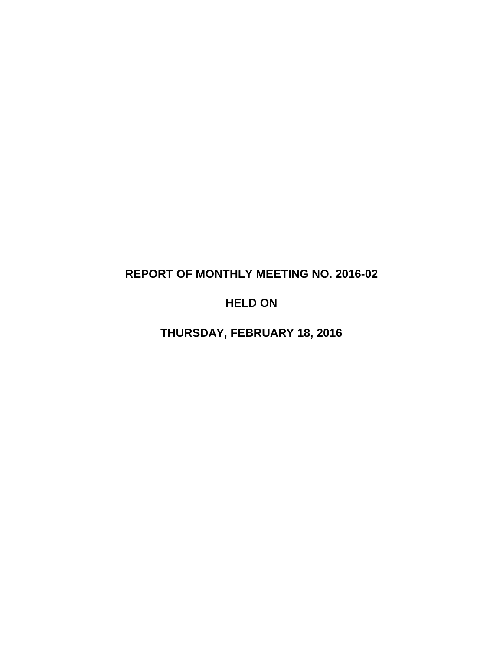# **REPORT OF MONTHLY MEETING NO. 2016-02**

## **HELD ON**

**THURSDAY, FEBRUARY 18, 2016**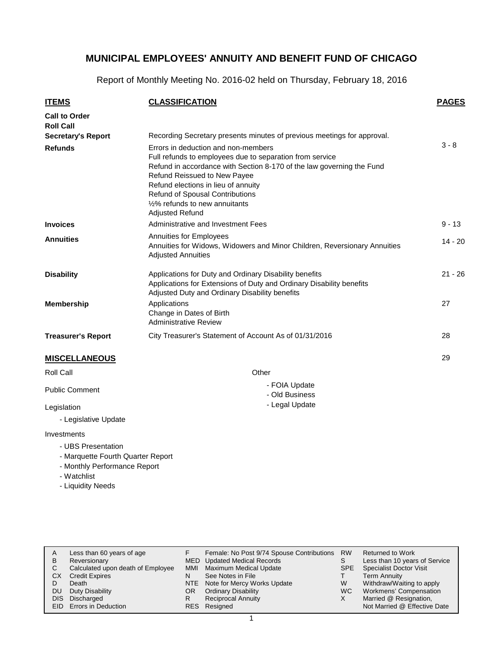Report of Monthly Meeting No. 2016-02 held on Thursday, February 18, 2016

| <b>ITEMS</b>                             | <b>CLASSIFICATION</b>                                                                                                                                                                                                                                                                                                                                       | <b>PAGES</b> |
|------------------------------------------|-------------------------------------------------------------------------------------------------------------------------------------------------------------------------------------------------------------------------------------------------------------------------------------------------------------------------------------------------------------|--------------|
| <b>Call to Order</b><br><b>Roll Call</b> |                                                                                                                                                                                                                                                                                                                                                             |              |
| <b>Secretary's Report</b>                | Recording Secretary presents minutes of previous meetings for approval.                                                                                                                                                                                                                                                                                     |              |
| <b>Refunds</b>                           | Errors in deduction and non-members<br>Full refunds to employees due to separation from service<br>Refund in accordance with Section 8-170 of the law governing the Fund<br>Refund Reissued to New Payee<br>Refund elections in lieu of annuity<br>Refund of Spousal Contributions<br>1/ <sub>2</sub> % refunds to new annuitants<br><b>Adjusted Refund</b> | $3 - 8$      |
| <b>Invoices</b>                          | Administrative and Investment Fees                                                                                                                                                                                                                                                                                                                          | $9 - 13$     |
| <b>Annuities</b>                         | Annuities for Employees<br>Annuities for Widows, Widowers and Minor Children, Reversionary Annuities<br><b>Adjusted Annuities</b>                                                                                                                                                                                                                           | $14 - 20$    |
| <b>Disability</b>                        | Applications for Duty and Ordinary Disability benefits<br>Applications for Extensions of Duty and Ordinary Disability benefits<br>Adjusted Duty and Ordinary Disability benefits                                                                                                                                                                            | $21 - 26$    |
| <b>Membership</b>                        | Applications<br>Change in Dates of Birth<br><b>Administrative Review</b>                                                                                                                                                                                                                                                                                    | 27           |
| <b>Treasurer's Report</b>                | City Treasurer's Statement of Account As of 01/31/2016                                                                                                                                                                                                                                                                                                      | 28           |
| <b>MISCELLANEOUS</b>                     |                                                                                                                                                                                                                                                                                                                                                             | 29           |
| Roll Call                                | Other                                                                                                                                                                                                                                                                                                                                                       |              |
| <b>Public Comment</b>                    | - FOIA Update<br>- Old Business                                                                                                                                                                                                                                                                                                                             |              |
| Legislation                              | - Legal Update                                                                                                                                                                                                                                                                                                                                              |              |

Legislation

- Legislative Update

Investments

- UBS Presentation

- Marquette Fourth Quarter Report

- Monthly Performance Report
- Watchlist
- Liquidity Needs

| A<br>в<br>C<br>СX<br>DU<br>DIS. | Less than 60 years of age<br>Reversionary<br>Calculated upon death of Employee<br><b>Credit Expires</b><br>Death<br>Duty Disability<br>Discharged | MMI<br>N<br>OR. | Female: No Post 9/74 Spouse Contributions<br>MED Updated Medical Records<br><b>Maximum Medical Update</b><br>See Notes in File<br>NTE Note for Mercy Works Update<br><b>Ordinary Disability</b><br><b>Reciprocal Annuity</b> | <b>RW</b><br>S<br><b>SPE</b><br>W<br>WC. | Returned to Work<br>Less than 10 years of Service<br><b>Specialist Doctor Visit</b><br>Term Annuity<br>Withdraw/Waiting to apply<br>Workmens' Compensation<br>Married @ Resignation, |
|---------------------------------|---------------------------------------------------------------------------------------------------------------------------------------------------|-----------------|------------------------------------------------------------------------------------------------------------------------------------------------------------------------------------------------------------------------------|------------------------------------------|--------------------------------------------------------------------------------------------------------------------------------------------------------------------------------------|
|                                 | EID Errors in Deduction                                                                                                                           |                 | RES Resigned                                                                                                                                                                                                                 |                                          | Not Married @ Effective Date                                                                                                                                                         |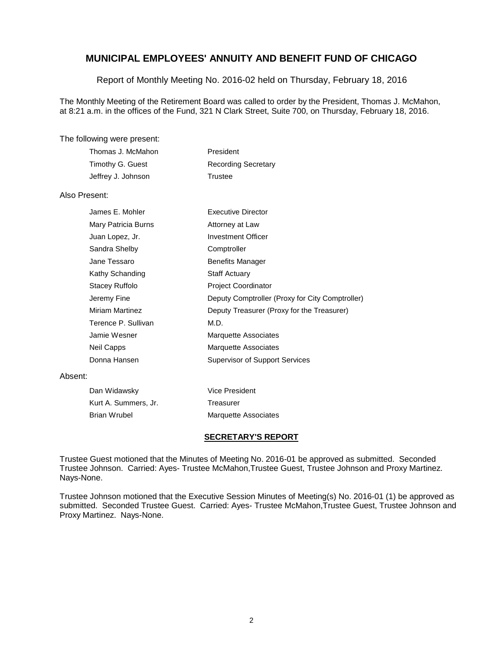Report of Monthly Meeting No. 2016-02 held on Thursday, February 18, 2016

The Monthly Meeting of the Retirement Board was called to order by the President, Thomas J. McMahon, at 8:21 a.m. in the offices of the Fund, 321 N Clark Street, Suite 700, on Thursday, February 18, 2016.

### The following were present:

| Thomas J. McMahon  | President                  |
|--------------------|----------------------------|
| Timothy G. Guest   | <b>Recording Secretary</b> |
| Jeffrey J. Johnson | Trustee                    |

### Also Present:

| James E. Mohler        | Executive Director                              |
|------------------------|-------------------------------------------------|
| Mary Patricia Burns    | Attorney at Law                                 |
| Juan Lopez, Jr.        | Investment Officer                              |
| Sandra Shelby          | Comptroller                                     |
| Jane Tessaro           | <b>Benefits Manager</b>                         |
| Kathy Schanding        | <b>Staff Actuary</b>                            |
| Stacey Ruffolo         | <b>Project Coordinator</b>                      |
| Jeremy Fine            | Deputy Comptroller (Proxy for City Comptroller) |
| <b>Miriam Martinez</b> | Deputy Treasurer (Proxy for the Treasurer)      |
| Terence P. Sullivan    | M.D.                                            |
| Jamie Wesner           | <b>Marquette Associates</b>                     |
| Neil Capps             | Marquette Associates                            |
| Donna Hansen           | <b>Supervisor of Support Services</b>           |

#### Absent:

| Dan Widawsky         | Vice President              |
|----------------------|-----------------------------|
| Kurt A. Summers, Jr. | Treasurer                   |
| Brian Wrubel         | <b>Marquette Associates</b> |

### **SECRETARY'S REPORT**

Trustee Guest motioned that the Minutes of Meeting No. 2016-01 be approved as submitted. Seconded Trustee Johnson. Carried: Ayes- Trustee McMahon,Trustee Guest, Trustee Johnson and Proxy Martinez. Nays-None.

Trustee Johnson motioned that the Executive Session Minutes of Meeting(s) No. 2016-01 (1) be approved as submitted. Seconded Trustee Guest. Carried: Ayes- Trustee McMahon,Trustee Guest, Trustee Johnson and Proxy Martinez. Nays-None.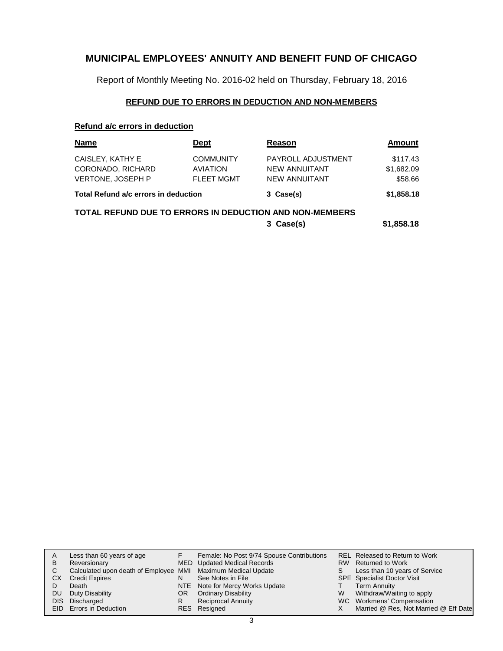Report of Monthly Meeting No. 2016-02 held on Thursday, February 18, 2016

## **REFUND DUE TO ERRORS IN DEDUCTION AND NON-MEMBERS**

### **Refund a/c errors in deduction**

| <b>Name</b>                                                                               | <b>Dept</b>                                              | Reason                                                      | <b>Amount</b>                     |  |  |
|-------------------------------------------------------------------------------------------|----------------------------------------------------------|-------------------------------------------------------------|-----------------------------------|--|--|
| CAISLEY, KATHY E<br>CORONADO, RICHARD<br>VERTONE, JOSEPH P                                | <b>COMMUNITY</b><br><b>AVIATION</b><br><b>FLEET MGMT</b> | PAYROLL ADJUSTMENT<br>NEW ANNUITANT<br><b>NEW ANNUITANT</b> | \$117.43<br>\$1,682.09<br>\$58.66 |  |  |
| Total Refund a/c errors in deduction                                                      |                                                          | 3 Case(s)                                                   | \$1,858.18                        |  |  |
| <b>TOTAL REFUND DUE TO ERRORS IN DEDUCTION AND NON-MEMBERS</b><br>\$1,858.18<br>3 Case(s) |                                                          |                                                             |                                   |  |  |

| A<br>B<br>C. | CХ<br>DU. | Less than 60 years of age<br>Reversionary<br>Calculated upon death of Employee MMI Maximum Medical Update<br><b>Credit Expires</b><br>Death<br>Duty Disability<br>DIS Discharged | N<br>OR.<br>R | Female: No Post 9/74 Spouse Contributions<br><b>MED</b> Updated Medical Records<br>See Notes in File<br>NTE Note for Mercy Works Update<br><b>Ordinary Disability</b><br><b>Reciprocal Annuity</b> | S.<br>W | REL Released to Return to Work<br>RW Returned to Work<br>Less than 10 years of Service<br><b>SPE</b> Specialist Doctor Visit<br>Term Annuity<br>Withdraw/Waiting to apply<br>WC Workmens' Compensation |
|--------------|-----------|----------------------------------------------------------------------------------------------------------------------------------------------------------------------------------|---------------|----------------------------------------------------------------------------------------------------------------------------------------------------------------------------------------------------|---------|--------------------------------------------------------------------------------------------------------------------------------------------------------------------------------------------------------|
|              |           | EID Errors in Deduction                                                                                                                                                          |               | RES Resigned                                                                                                                                                                                       |         | Married @ Res, Not Married @ Eff Date                                                                                                                                                                  |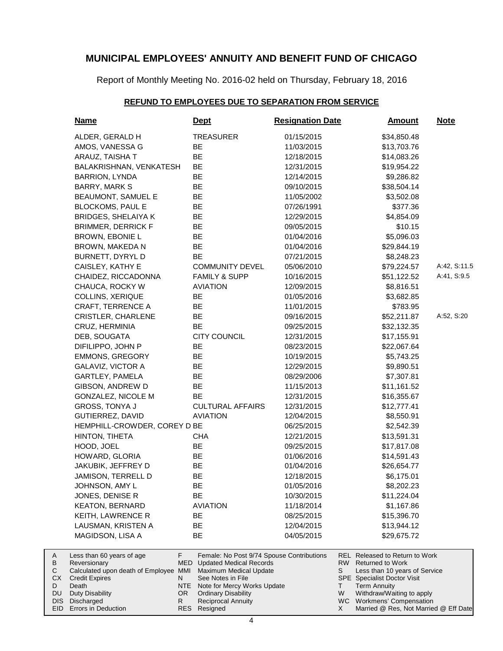Report of Monthly Meeting No. 2016-02 held on Thursday, February 18, 2016

### **REFUND TO EMPLOYEES DUE TO SEPARATION FROM SERVICE**

| <b>Name</b>                                                                                                                    | <u>Dept</u>                                                                                                                                                             | <b>Resignation Date</b> | <b>Amount</b>                                                                                                                                                 | <b>Note</b>  |
|--------------------------------------------------------------------------------------------------------------------------------|-------------------------------------------------------------------------------------------------------------------------------------------------------------------------|-------------------------|---------------------------------------------------------------------------------------------------------------------------------------------------------------|--------------|
| ALDER, GERALD H                                                                                                                | <b>TREASURER</b>                                                                                                                                                        | 01/15/2015              | \$34,850.48                                                                                                                                                   |              |
| AMOS, VANESSA G                                                                                                                | BE                                                                                                                                                                      | 11/03/2015              | \$13,703.76                                                                                                                                                   |              |
| ARAUZ, TAISHA T                                                                                                                | BE                                                                                                                                                                      | 12/18/2015              | \$14,083.26                                                                                                                                                   |              |
| BALAKRISHNAN, VENKATESH                                                                                                        | BE                                                                                                                                                                      | 12/31/2015              | \$19,954.22                                                                                                                                                   |              |
| BARRION, LYNDA                                                                                                                 | <b>BE</b>                                                                                                                                                               | 12/14/2015              | \$9,286.82                                                                                                                                                    |              |
| BARRY, MARK S                                                                                                                  | BE                                                                                                                                                                      | 09/10/2015              | \$38,504.14                                                                                                                                                   |              |
| <b>BEAUMONT, SAMUEL E</b>                                                                                                      | BE                                                                                                                                                                      | 11/05/2002              | \$3,502.08                                                                                                                                                    |              |
| <b>BLOCKOMS, PAUL E</b>                                                                                                        | BE                                                                                                                                                                      | 07/26/1991              | \$377.36                                                                                                                                                      |              |
| <b>BRIDGES, SHELAIYA K</b>                                                                                                     | BE                                                                                                                                                                      | 12/29/2015              | \$4,854.09                                                                                                                                                    |              |
| <b>BRIMMER, DERRICK F</b>                                                                                                      | BE                                                                                                                                                                      | 09/05/2015              | \$10.15                                                                                                                                                       |              |
| BROWN, EBONIE L                                                                                                                | BE                                                                                                                                                                      | 01/04/2016              | \$5,096.03                                                                                                                                                    |              |
| BROWN, MAKEDA N                                                                                                                | BE                                                                                                                                                                      | 01/04/2016              | \$29,844.19                                                                                                                                                   |              |
| BURNETT, DYRYL D                                                                                                               | <b>BE</b>                                                                                                                                                               | 07/21/2015              | \$8,248.23                                                                                                                                                    |              |
| CAISLEY, KATHY E                                                                                                               | <b>COMMUNITY DEVEL</b>                                                                                                                                                  | 05/06/2010              | \$79,224.57                                                                                                                                                   | A:42, S:11.5 |
| CHAIDEZ, RICCADONNA                                                                                                            | <b>FAMILY &amp; SUPP</b>                                                                                                                                                | 10/16/2015              | \$51,122.52                                                                                                                                                   | A:41, S:9.5  |
| CHAUCA, ROCKY W                                                                                                                | <b>AVIATION</b>                                                                                                                                                         | 12/09/2015              | \$8,816.51                                                                                                                                                    |              |
| COLLINS, XERIQUE                                                                                                               | BE                                                                                                                                                                      | 01/05/2016              | \$3,682.85                                                                                                                                                    |              |
| <b>CRAFT, TERRENCE A</b>                                                                                                       | BE                                                                                                                                                                      | 11/01/2015              | \$783.95                                                                                                                                                      |              |
| <b>CRISTLER, CHARLENE</b>                                                                                                      | BE                                                                                                                                                                      | 09/16/2015              | \$52,211.87                                                                                                                                                   | A:52, S:20   |
| CRUZ, HERMINIA                                                                                                                 | <b>BE</b>                                                                                                                                                               | 09/25/2015              | \$32,132.35                                                                                                                                                   |              |
| DEB, SOUGATA                                                                                                                   | <b>CITY COUNCIL</b>                                                                                                                                                     | 12/31/2015              | \$17,155.91                                                                                                                                                   |              |
| DIFILIPPO, JOHN P                                                                                                              | BE                                                                                                                                                                      | 08/23/2015              | \$22,067.64                                                                                                                                                   |              |
| <b>EMMONS, GREGORY</b>                                                                                                         | BE                                                                                                                                                                      | 10/19/2015              | \$5,743.25                                                                                                                                                    |              |
| GALAVIZ, VICTOR A                                                                                                              | BE                                                                                                                                                                      | 12/29/2015              | \$9,890.51                                                                                                                                                    |              |
| GARTLEY, PAMELA                                                                                                                | BE                                                                                                                                                                      | 08/29/2006              | \$7,307.81                                                                                                                                                    |              |
| GIBSON, ANDREW D                                                                                                               | BE                                                                                                                                                                      | 11/15/2013              | \$11,161.52                                                                                                                                                   |              |
| GONZALEZ, NICOLE M                                                                                                             | BE                                                                                                                                                                      | 12/31/2015              | \$16,355.67                                                                                                                                                   |              |
| GROSS, TONYA J                                                                                                                 | <b>CULTURAL AFFAIRS</b>                                                                                                                                                 | 12/31/2015              | \$12,777.41                                                                                                                                                   |              |
| GUTIERREZ, DAVID                                                                                                               | <b>AVIATION</b>                                                                                                                                                         | 12/04/2015              | \$8,550.91                                                                                                                                                    |              |
| HEMPHILL-CROWDER, COREY D BE                                                                                                   |                                                                                                                                                                         | 06/25/2015              | \$2,542.39                                                                                                                                                    |              |
| HINTON, TIHETA                                                                                                                 | <b>CHA</b>                                                                                                                                                              | 12/21/2015              | \$13,591.31                                                                                                                                                   |              |
| HOOD, JOEL                                                                                                                     | BE                                                                                                                                                                      | 09/25/2015              | \$17,817.08                                                                                                                                                   |              |
| HOWARD, GLORIA                                                                                                                 | BE                                                                                                                                                                      | 01/06/2016              | \$14,591.43                                                                                                                                                   |              |
| JAKUBIK, JEFFREY D                                                                                                             | BE                                                                                                                                                                      | 01/04/2016              | \$26,654.77                                                                                                                                                   |              |
| JAMISON, TERRELL D                                                                                                             | BE                                                                                                                                                                      | 12/18/2015              | \$6,175.01                                                                                                                                                    |              |
| JOHNSON, AMY L                                                                                                                 | ᄠ                                                                                                                                                                       | 01/05/2016              | \$8,202.23                                                                                                                                                    |              |
| JONES, DENISE R                                                                                                                | BE                                                                                                                                                                      | 10/30/2015              | \$11,224.04                                                                                                                                                   |              |
| <b>KEATON, BERNARD</b>                                                                                                         | <b>AVIATION</b>                                                                                                                                                         | 11/18/2014              | \$1,167.86                                                                                                                                                    |              |
| KEITH, LAWRENCE R                                                                                                              | BE                                                                                                                                                                      | 08/25/2015              | \$15,396.70                                                                                                                                                   |              |
| LAUSMAN, KRISTEN A                                                                                                             | BE                                                                                                                                                                      | 12/04/2015              | \$13,944.12                                                                                                                                                   |              |
| MAGIDSON, LISA A                                                                                                               | BE                                                                                                                                                                      | 04/05/2015              | \$29,675.72                                                                                                                                                   |              |
| F<br>Less than 60 years of age<br>Reversionary<br>Calculated upon death of Employee MMI<br><b>Credit Expires</b><br>N<br>Death | Female: No Post 9/74 Spouse Contributions<br>MED<br><b>Updated Medical Records</b><br>Maximum Medical Update<br>See Notes in File<br>NTE<br>Note for Mercy Works Update |                         | REL Released to Return to Work<br>RW Returned to Work<br>S<br>Less than 10 years of Service<br><b>SPE</b> Specialist Doctor Visit<br>Τ<br><b>Term Annuity</b> |              |
| <b>Duty Disability</b><br>OR.<br>R.<br>Discharged                                                                              | <b>Ordinary Disability</b><br><b>Reciprocal Annuity</b>                                                                                                                 |                         | W<br>Withdraw/Waiting to apply<br>WC Workmens' Compensation                                                                                                   |              |

DIS Discharged EID Errors in Deduction

A B  $\mathbf C$ CX D DU

Resigned RES

X

Married @ Res, Not Married @ Eff Date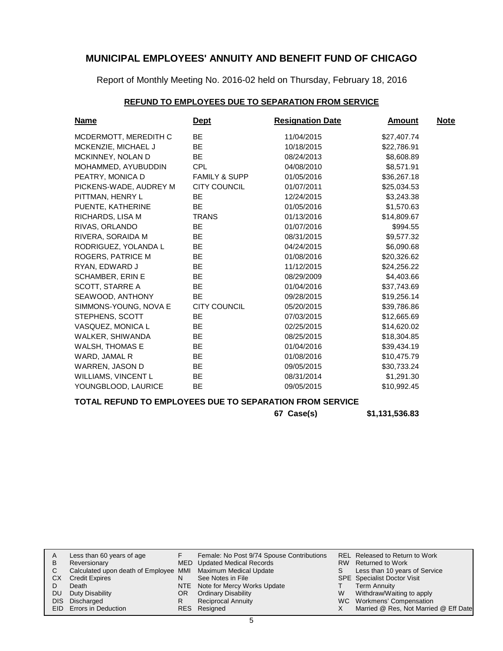Report of Monthly Meeting No. 2016-02 held on Thursday, February 18, 2016

## **REFUND TO EMPLOYEES DUE TO SEPARATION FROM SERVICE**

| <b>Name</b>              | <u>Dept</u>              | <b>Resignation Date</b> | <b>Amount</b> | <b>Note</b> |
|--------------------------|--------------------------|-------------------------|---------------|-------------|
| MCDERMOTT, MEREDITH C    | BE                       | 11/04/2015              | \$27,407.74   |             |
| MCKENZIE, MICHAEL J      | <b>BE</b>                | 10/18/2015              | \$22,786.91   |             |
| <b>MCKINNEY, NOLAN D</b> | <b>BE</b>                | 08/24/2013              | \$8,608.89    |             |
| MOHAMMED, AYUBUDDIN      | <b>CPL</b>               | 04/08/2010              | \$8,571.91    |             |
| PEATRY, MONICA D         | <b>FAMILY &amp; SUPP</b> | 01/05/2016              | \$36,267.18   |             |
| PICKENS-WADE, AUDREY M   | CITY COUNCIL             | 01/07/2011              | \$25,034.53   |             |
| PITTMAN, HENRY L         | <b>BE</b>                | 12/24/2015              | \$3,243.38    |             |
| PUENTE, KATHERINE        | <b>BE</b>                | 01/05/2016              | \$1,570.63    |             |
| RICHARDS, LISA M         | <b>TRANS</b>             | 01/13/2016              | \$14,809.67   |             |
| RIVAS, ORLANDO           | <b>BE</b>                | 01/07/2016              | \$994.55      |             |
| RIVERA, SORAIDA M        | <b>BE</b>                | 08/31/2015              | \$9,577.32    |             |
| RODRIGUEZ, YOLANDA L     | <b>BE</b>                | 04/24/2015              | \$6,090.68    |             |
| ROGERS, PATRICE M        | <b>BE</b>                | 01/08/2016              | \$20,326.62   |             |
| RYAN, EDWARD J           | BE                       | 11/12/2015              | \$24,256.22   |             |
| <b>SCHAMBER, ERIN E</b>  | <b>BE</b>                | 08/29/2009              | \$4,403.66    |             |
| <b>SCOTT, STARRE A</b>   | <b>BE</b>                | 01/04/2016              | \$37,743.69   |             |
| SEAWOOD, ANTHONY         | <b>BE</b>                | 09/28/2015              | \$19,256.14   |             |
| SIMMONS-YOUNG, NOVA E    | <b>CITY COUNCIL</b>      | 05/20/2015              | \$39,786.86   |             |
| STEPHENS, SCOTT          | <b>BE</b>                | 07/03/2015              | \$12,665.69   |             |
| VASQUEZ, MONICA L        | <b>BE</b>                | 02/25/2015              | \$14,620.02   |             |
| WALKER, SHIWANDA         | <b>BE</b>                | 08/25/2015              | \$18,304.85   |             |
| <b>WALSH, THOMAS E</b>   | <b>BE</b>                | 01/04/2016              | \$39,434.19   |             |
| WARD, JAMAL R            | <b>BE</b>                | 01/08/2016              | \$10,475.79   |             |
| WARREN, JASON D          | BE                       | 09/05/2015              | \$30,733.24   |             |
| WILLIAMS, VINCENT L      | <b>BE</b>                | 08/31/2014              | \$1,291.30    |             |
| YOUNGBLOOD, LAURICE      | BE                       | 09/05/2015              | \$10,992.45   |             |
|                          |                          |                         |               |             |

### **TOTAL REFUND TO EMPLOYEES DUE TO SEPARATION FROM SERVICE**

**67 Case(s) \$1,131,536.83**

|           | Less than 60 years of age                                    |     | Female: No Post 9/74 Spouse Contributions |    | REL Released to Return to Work        |
|-----------|--------------------------------------------------------------|-----|-------------------------------------------|----|---------------------------------------|
| B         | Reversionary                                                 |     | MED Updated Medical Records               |    | RW Returned to Work                   |
|           | Calculated upon death of Employee MMI Maximum Medical Update |     |                                           | S. | Less than 10 years of Service         |
| CХ        | <b>Credit Expires</b>                                        |     | See Notes in File                         |    | <b>SPE</b> Specialist Doctor Visit    |
|           | Death                                                        |     | NTE Note for Mercy Works Update           |    | Term Annuity                          |
| <b>DU</b> | Duty Disability                                              | OR. | <b>Ordinary Disability</b>                | W  | Withdraw/Waiting to apply             |
|           | DIS Discharged                                               |     | <b>Reciprocal Annuity</b>                 |    | WC Workmens' Compensation             |
|           | EID Errors in Deduction                                      |     | RES Resigned                              |    | Married @ Res, Not Married @ Eff Date |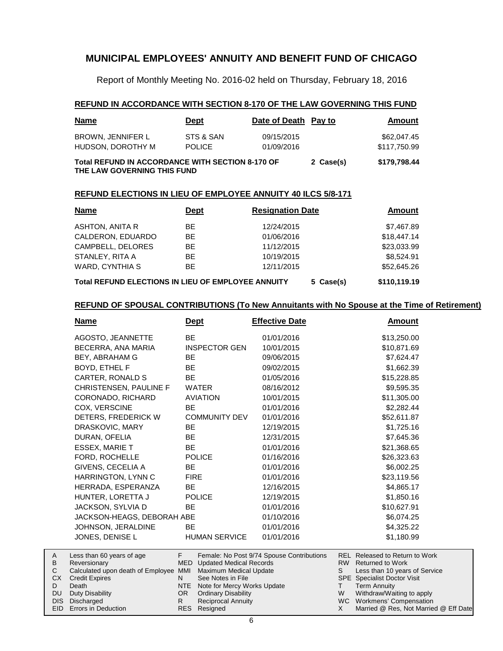Report of Monthly Meeting No. 2016-02 held on Thursday, February 18, 2016

### **REFUND IN ACCORDANCE WITH SECTION 8-170 OF THE LAW GOVERNING THIS FUND**

| <b>Name</b>                                                                            | <b>Dept</b>                | Date of Death Pay to     |  | Amount                      |
|----------------------------------------------------------------------------------------|----------------------------|--------------------------|--|-----------------------------|
| BROWN, JENNIFER L<br>HUDSON, DOROTHY M                                                 | STS & SAN<br><b>POLICE</b> | 09/15/2015<br>01/09/2016 |  | \$62,047.45<br>\$117,750.99 |
| <b>Total REFUND IN ACCORDANCE WITH SECTION 8-170 OF</b><br>THE LAW GOVERNING THIS FUND | \$179,798.44               |                          |  |                             |

### **REFUND ELECTIONS IN LIEU OF EMPLOYEE ANNUITY 40 ILCS 5/8-171**

| <b>Name</b>                                        | <b>Dept</b> | <b>Resignation Date</b> | Amount       |
|----------------------------------------------------|-------------|-------------------------|--------------|
| ASHTON, ANITA R                                    | BE          | 12/24/2015              | \$7,467.89   |
| CALDERON, EDUARDO                                  | <b>BE</b>   | 01/06/2016              | \$18,447.14  |
| CAMPBELL, DELORES                                  | <b>BE</b>   | 11/12/2015              | \$23,033.99  |
| STANLEY, RITA A                                    | BE.         | 10/19/2015              | \$8.524.91   |
| WARD, CYNTHIA S                                    | BE.         | 12/11/2015              | \$52,645.26  |
| Total REFUND ELECTIONS IN LIEU OF EMPLOYEE ANNUITY |             | 5 Case(s)               | \$110,119.19 |

### **REFUND OF SPOUSAL CONTRIBUTIONS (To New Annuitants with No Spouse at the Time of Retirement)**

| <u>Name</u>                                                                                                      | <u>Dept</u>                                                                                                                                                | <b>Effective Date</b>                     | <u>Amount</u>                                                                                                                                                         |
|------------------------------------------------------------------------------------------------------------------|------------------------------------------------------------------------------------------------------------------------------------------------------------|-------------------------------------------|-----------------------------------------------------------------------------------------------------------------------------------------------------------------------|
| AGOSTO, JEANNETTE                                                                                                | <b>BE</b>                                                                                                                                                  | 01/01/2016                                | \$13,250.00                                                                                                                                                           |
| BECERRA, ANA MARIA                                                                                               | <b>INSPECTOR GEN</b>                                                                                                                                       | 10/01/2015                                | \$10,871.69                                                                                                                                                           |
| <b>BEY, ABRAHAM G</b>                                                                                            | BE.                                                                                                                                                        | 09/06/2015                                | \$7,624.47                                                                                                                                                            |
| BOYD, ETHEL F                                                                                                    | <b>BE</b>                                                                                                                                                  | 09/02/2015                                | \$1,662.39                                                                                                                                                            |
| CARTER, RONALD S                                                                                                 | <b>BE</b>                                                                                                                                                  | 01/05/2016                                | \$15,228.85                                                                                                                                                           |
| CHRISTENSEN, PAULINE F                                                                                           | <b>WATER</b>                                                                                                                                               | 08/16/2012                                | \$9,595.35                                                                                                                                                            |
| CORONADO, RICHARD                                                                                                | <b>AVIATION</b>                                                                                                                                            | 10/01/2015                                | \$11,305.00                                                                                                                                                           |
| COX, VERSCINE                                                                                                    | <b>BE</b>                                                                                                                                                  | 01/01/2016                                | \$2,282.44                                                                                                                                                            |
| DETERS, FREDERICK W                                                                                              | <b>COMMUNITY DEV</b>                                                                                                                                       | 01/01/2016                                | \$52,611.87                                                                                                                                                           |
| DRASKOVIC, MARY                                                                                                  | <b>BE</b>                                                                                                                                                  | 12/19/2015                                | \$1,725.16                                                                                                                                                            |
| DURAN, OFELIA                                                                                                    | <b>BE</b>                                                                                                                                                  | 12/31/2015                                | \$7,645.36                                                                                                                                                            |
| <b>ESSEX, MARIE T</b>                                                                                            | <b>BE</b>                                                                                                                                                  | 01/01/2016                                | \$21,368.65                                                                                                                                                           |
| FORD, ROCHELLE                                                                                                   | <b>POLICE</b>                                                                                                                                              | 01/16/2016                                | \$26,323.63                                                                                                                                                           |
| GIVENS, CECELIA A                                                                                                | <b>BE</b>                                                                                                                                                  | 01/01/2016                                | \$6,002.25                                                                                                                                                            |
| HARRINGTON, LYNN C                                                                                               | <b>FIRE</b>                                                                                                                                                | 01/01/2016                                | \$23,119.56                                                                                                                                                           |
| HERRADA, ESPERANZA                                                                                               | BE.                                                                                                                                                        | 12/16/2015                                | \$4,865.17                                                                                                                                                            |
| HUNTER, LORETTA J                                                                                                | <b>POLICE</b>                                                                                                                                              | 12/19/2015                                | \$1,850.16                                                                                                                                                            |
| JACKSON, SYLVIA D                                                                                                | <b>BE</b>                                                                                                                                                  | 01/01/2016                                | \$10,627.91                                                                                                                                                           |
| JACKSON-HEAGS, DEBORAH ABE                                                                                       |                                                                                                                                                            | 01/10/2016                                | \$6,074.25                                                                                                                                                            |
| JOHNSON, JERALDINE                                                                                               | <b>BE</b>                                                                                                                                                  | 01/01/2016                                | \$4,325.22                                                                                                                                                            |
| JONES, DENISE L                                                                                                  | <b>HUMAN SERVICE</b>                                                                                                                                       | 01/01/2016                                | \$1,180.99                                                                                                                                                            |
| Less than 60 years of age<br>Reversionary<br>Calculated upon death of Employee<br><b>Credit Expires</b><br>Death | F.<br><b>MED</b><br><b>Updated Medical Records</b><br>MMI<br>Maximum Medical Update<br>N<br>See Notes in File<br><b>NTE</b><br>Note for Mercy Works Update | Female: No Post 9/74 Spouse Contributions | <b>REL Released to Return to Work</b><br>RW Returned to Work<br>S<br>Less than 10 years of Service<br><b>SPE</b> Specialist Doctor Visit<br>T.<br><b>Term Annuity</b> |
| Duty Disability                                                                                                  | <b>OR</b><br><b>Ordinary Disability</b>                                                                                                                    |                                           | W<br>Withdraw/Waiting to apply                                                                                                                                        |

Reciprocal Annuity

Resigned RES

R

WC Workmens' Compensation

X Married @ Res, Not Married @ Eff Date

DIS Discharged EID Errors in Deduction

A B C CX D DU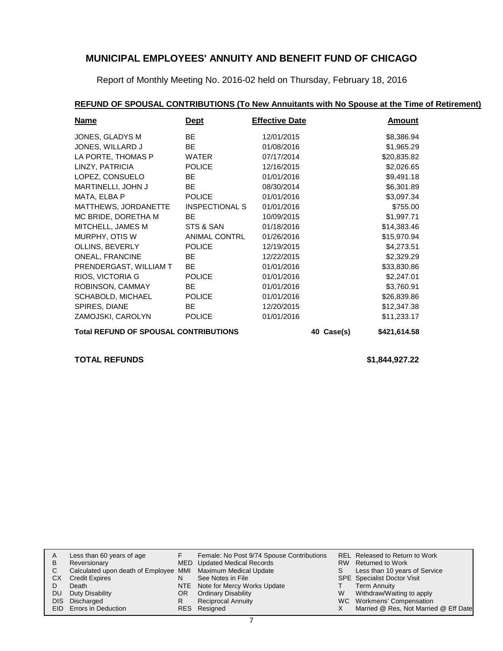Report of Monthly Meeting No. 2016-02 held on Thursday, February 18, 2016

## **REFUND OF SPOUSAL CONTRIBUTIONS (To New Annuitants with No Spouse at the Time of Retirement)**

| Name                                         | <b>Dept</b>           | <b>Effective Date</b> |  | <b>Amount</b> |
|----------------------------------------------|-----------------------|-----------------------|--|---------------|
| JONES, GLADYS M                              | <b>BE</b>             | 12/01/2015            |  | \$8,386.94    |
| JONES, WILLARD J                             | BE.                   | 01/08/2016            |  | \$1,965.29    |
| LA PORTE, THOMAS P                           | <b>WATER</b>          | 07/17/2014            |  | \$20,835.82   |
| LINZY, PATRICIA                              | <b>POLICE</b>         | 12/16/2015            |  | \$2,026.65    |
| LOPEZ, CONSUELO                              | BE.                   | 01/01/2016            |  | \$9,491.18    |
| MARTINELLI, JOHN J                           | BE.                   | 08/30/2014            |  | \$6,301.89    |
| MATA, ELBA P                                 | <b>POLICE</b>         | 01/01/2016            |  | \$3,097.34    |
| MATTHEWS, JORDANETTE                         | <b>INSPECTIONAL S</b> | 01/01/2016            |  | \$755.00      |
| MC BRIDE, DORETHA M                          | <b>BE</b>             | 10/09/2015            |  | \$1,997.71    |
| MITCHELL, JAMES M                            | STS & SAN             | 01/18/2016            |  | \$14,383.46   |
| MURPHY, OTIS W                               | ANIMAL CONTRL         | 01/26/2016            |  | \$15,970.94   |
| OLLINS, BEVERLY                              | <b>POLICE</b>         | 12/19/2015            |  | \$4,273.51    |
| <b>ONEAL, FRANCINE</b>                       | BE.                   | 12/22/2015            |  | \$2,329.29    |
| PRENDERGAST, WILLIAM T                       | <b>BE</b>             | 01/01/2016            |  | \$33,830.86   |
| RIOS, VICTORIA G                             | <b>POLICE</b>         | 01/01/2016            |  | \$2,247.01    |
| ROBINSON, CAMMAY                             | BE.                   | 01/01/2016            |  | \$3,760.91    |
| SCHABOLD, MICHAEL                            | <b>POLICE</b>         | 01/01/2016            |  | \$26,839.86   |
| SPIRES, DIANE                                | <b>BE</b>             | 12/20/2015            |  | \$12,347.38   |
| ZAMOJSKI, CAROLYN                            | <b>POLICE</b>         | 01/01/2016            |  | \$11,233.17   |
| <b>Total REFUND OF SPOUSAL CONTRIBUTIONS</b> | 40 Case(s)            | \$421,614.58          |  |               |

**TOTAL REFUNDS \$1,844,927.22**

| A  | Less than 60 years of age                                    |     | Female: No Post 9/74 Spouse Contributions |   | REL Released to Return to Work        |
|----|--------------------------------------------------------------|-----|-------------------------------------------|---|---------------------------------------|
| B  | Reversionary                                                 |     | MED Updated Medical Records               |   | RW Returned to Work                   |
|    | Calculated upon death of Employee MMI Maximum Medical Update |     |                                           |   | Less than 10 years of Service         |
| СX | <b>Credit Expires</b>                                        |     | See Notes in File                         |   | <b>SPE</b> Specialist Doctor Visit    |
|    | Death                                                        |     | NTE Note for Mercy Works Update           |   | <b>Term Annuity</b>                   |
| DU | Duty Disability                                              | OR. | <b>Ordinary Disability</b>                | W | Withdraw/Waiting to apply             |
|    | DIS Discharged                                               |     | <b>Reciprocal Annuity</b>                 |   | WC Workmens' Compensation             |
|    | EID Errors in Deduction                                      |     | RES Resigned                              |   | Married @ Res, Not Married @ Eff Date |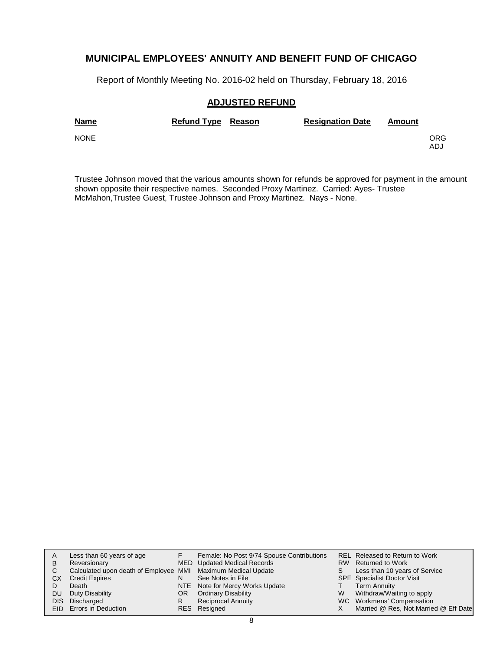Report of Monthly Meeting No. 2016-02 held on Thursday, February 18, 2016

### **ADJUSTED REFUND**

| <b>Name</b> | Refund Type Reason | <b>Resignation Date</b> | Amount |             |
|-------------|--------------------|-------------------------|--------|-------------|
| <b>NONE</b> |                    |                         |        | ORG.<br>ADJ |

Trustee Johnson moved that the various amounts shown for refunds be approved for payment in the amount shown opposite their respective names. Seconded Proxy Martinez. Carried: Ayes- Trustee McMahon,Trustee Guest, Trustee Johnson and Proxy Martinez. Nays - None.

| A  | Less than 60 years of age                                    |    | Female: No Post 9/74 Spouse Contributions |   | REL Released to Return to Work        |
|----|--------------------------------------------------------------|----|-------------------------------------------|---|---------------------------------------|
| B  | Reversionary                                                 |    | MED Updated Medical Records               |   | RW Returned to Work                   |
| C. | Calculated upon death of Employee MMI Maximum Medical Update |    |                                           | S | Less than 10 years of Service         |
| СX | <b>Credit Expires</b>                                        | N  | See Notes in File                         |   | <b>SPE</b> Specialist Doctor Visit    |
|    | Death                                                        |    | NTE Note for Mercy Works Update           |   | <b>Term Annuity</b>                   |
| DU | Duty Disability                                              | OR | <b>Ordinary Disability</b>                | W | Withdraw/Waiting to apply             |
|    | DIS Discharged                                               | R  | <b>Reciprocal Annuity</b>                 |   | WC Workmens' Compensation             |
|    | EID Errors in Deduction                                      |    | RES Resigned                              |   | Married @ Res, Not Married @ Eff Date |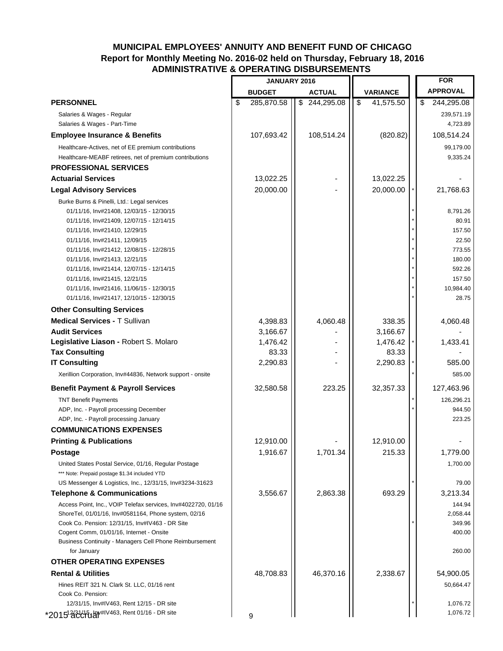## **MUNICIPAL EMPLOYEES' ANNUITY AND BENEFIT FUND OF CHICAGO Report for Monthly Meeting No. 2016-02 held on Thursday, February 18, 2016 ADMINISTRATIVE & OPERATING DISBURSEMENTS**

|                                                                                                       | <b>JANUARY 2016</b> |                  |                 |    | <b>FOR</b>           |
|-------------------------------------------------------------------------------------------------------|---------------------|------------------|-----------------|----|----------------------|
|                                                                                                       | <b>BUDGET</b>       | <b>ACTUAL</b>    | <b>VARIANCE</b> |    | <b>APPROVAL</b>      |
| <b>PERSONNEL</b>                                                                                      | \$<br>285,870.58    | \$<br>244,295.08 | \$<br>41,575.50 | \$ | 244,295.08           |
| Salaries & Wages - Regular                                                                            |                     |                  |                 |    | 239,571.19           |
| Salaries & Wages - Part-Time                                                                          |                     |                  |                 |    | 4,723.89             |
| <b>Employee Insurance &amp; Benefits</b>                                                              | 107,693.42          | 108,514.24       | (820.82)        |    | 108,514.24           |
| Healthcare-Actives, net of EE premium contributions                                                   |                     |                  |                 |    | 99,179.00            |
| Healthcare-MEABF retirees, net of premium contributions                                               |                     |                  |                 |    | 9,335.24             |
| <b>PROFESSIONAL SERVICES</b>                                                                          |                     |                  |                 |    |                      |
| <b>Actuarial Services</b>                                                                             | 13,022.25           |                  | 13,022.25       |    |                      |
| <b>Legal Advisory Services</b>                                                                        | 20,000.00           |                  | 20,000.00       |    | 21,768.63            |
| Burke Burns & Pinelli, Ltd.: Legal services                                                           |                     |                  |                 |    |                      |
| 01/11/16, Inv#21408, 12/03/15 - 12/30/15                                                              |                     |                  |                 |    | 8,791.26             |
| 01/11/16, Inv#21409, 12/07/15 - 12/14/15                                                              |                     |                  |                 |    | 80.91                |
| 01/11/16, Inv#21410, 12/29/15                                                                         |                     |                  |                 |    | 157.50               |
| 01/11/16, Inv#21411, 12/09/15                                                                         |                     |                  |                 |    | 22.50                |
| 01/11/16, Inv#21412, 12/08/15 - 12/28/15                                                              |                     |                  |                 |    | 773.55               |
| 01/11/16, Inv#21413, 12/21/15                                                                         |                     |                  |                 |    | 180.00               |
| 01/11/16, Inv#21414, 12/07/15 - 12/14/15                                                              |                     |                  |                 |    | 592.26               |
| 01/11/16, Inv#21415, 12/21/15<br>01/11/16, Inv#21416, 11/06/15 - 12/30/15                             |                     |                  |                 |    | 157.50<br>10,984.40  |
| 01/11/16, Inv#21417, 12/10/15 - 12/30/15                                                              |                     |                  |                 |    | 28.75                |
| <b>Other Consulting Services</b>                                                                      |                     |                  |                 |    |                      |
| <b>Medical Services - T Sullivan</b>                                                                  | 4,398.83            | 4,060.48         | 338.35          |    | 4,060.48             |
| <b>Audit Services</b>                                                                                 | 3,166.67            |                  | 3,166.67        |    |                      |
| Legislative Liason - Robert S. Molaro                                                                 | 1,476.42            |                  | 1,476.42        |    | 1,433.41             |
| <b>Tax Consulting</b>                                                                                 | 83.33               |                  | 83.33           |    |                      |
| <b>IT Consulting</b>                                                                                  | 2,290.83            |                  | 2,290.83        |    | 585.00               |
| Xerillion Corporation, Inv#44836, Network support - onsite                                            |                     |                  |                 |    | 585.00               |
| <b>Benefit Payment &amp; Payroll Services</b>                                                         | 32,580.58           | 223.25           | 32,357.33       |    | 127,463.96           |
|                                                                                                       |                     |                  |                 |    |                      |
| <b>TNT Benefit Payments</b><br>ADP, Inc. - Payroll processing December                                |                     |                  |                 |    | 126,296.21<br>944.50 |
| ADP, Inc. - Payroll processing January                                                                |                     |                  |                 |    | 223.25               |
| <b>COMMUNICATIONS EXPENSES</b>                                                                        |                     |                  |                 |    |                      |
| <b>Printing &amp; Publications</b>                                                                    | 12,910.00           |                  | 12,910.00       |    |                      |
| Postage                                                                                               | 1,916.67            | 1,701.34         | 215.33          |    | 1,779.00             |
|                                                                                                       |                     |                  |                 |    |                      |
| United States Postal Service, 01/16, Regular Postage<br>*** Note: Prepaid postage \$1.34 included YTD |                     |                  |                 |    | 1,700.00             |
| US Messenger & Logistics, Inc., 12/31/15, Inv#3234-31623                                              |                     |                  |                 |    | 79.00                |
| <b>Telephone &amp; Communications</b>                                                                 | 3,556.67            | 2,863.38         | 693.29          |    | 3,213.34             |
| Access Point, Inc., VOIP Telefax services, Inv#4022720, 01/16                                         |                     |                  |                 |    | 144.94               |
| ShoreTel, 01/01/16, Inv#0581164, Phone system, 02/16                                                  |                     |                  |                 |    | 2,058.44             |
| Cook Co. Pension: 12/31/15, Inv#IV463 - DR Site                                                       |                     |                  |                 |    | 349.96               |
| Cogent Comm, 01/01/16, Internet - Onsite                                                              |                     |                  |                 |    | 400.00               |
| Business Continuity - Managers Cell Phone Reimbursement<br>for January                                |                     |                  |                 |    | 260.00               |
| <b>OTHER OPERATING EXPENSES</b>                                                                       |                     |                  |                 |    |                      |
| <b>Rental &amp; Utilities</b>                                                                         | 48,708.83           | 46,370.16        | 2,338.67        |    | 54,900.05            |
| Hines REIT 321 N. Clark St. LLC, 01/16 rent                                                           |                     |                  |                 |    | 50,664.47            |
| Cook Co. Pension:                                                                                     |                     |                  |                 |    |                      |
| 12/31/15, Inv#IV463, Rent 12/15 - DR site                                                             |                     |                  |                 |    | 1,076.72             |
| *2015 320 h 41V463, Rent 01/16 - DR site                                                              | 9                   |                  |                 |    | 1,076.72             |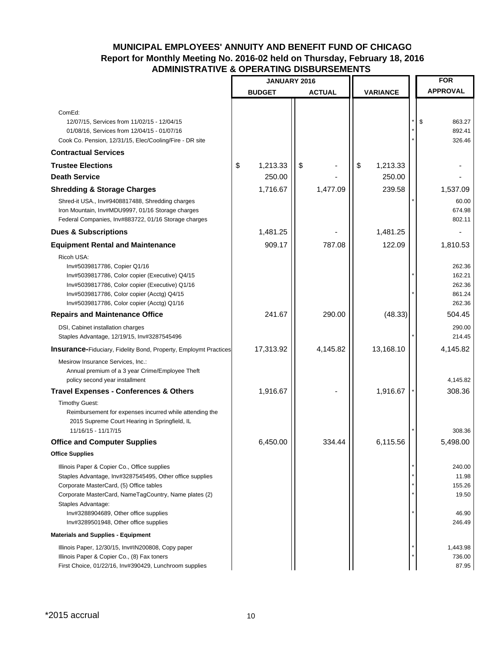## **MUNICIPAL EMPLOYEES' ANNUITY AND BENEFIT FUND OF CHICAGO Report for Monthly Meeting No. 2016-02 held on Thursday, February 18, 2016 ADMINISTRATIVE & OPERATING DISBURSEMENTS**

|                                                                                                     | JANUARY 2016 |               |    |               | <b>FOR</b>      |                        |
|-----------------------------------------------------------------------------------------------------|--------------|---------------|----|---------------|-----------------|------------------------|
|                                                                                                     |              | <b>BUDGET</b> |    | <b>ACTUAL</b> | <b>VARIANCE</b> | <b>APPROVAL</b>        |
|                                                                                                     |              |               |    |               |                 |                        |
| ComEd:                                                                                              |              |               |    |               |                 |                        |
| 12/07/15, Services from 11/02/15 - 12/04/15<br>01/08/16, Services from 12/04/15 - 01/07/16          |              |               |    |               |                 | \$<br>863.27<br>892.41 |
| Cook Co. Pension, 12/31/15, Elec/Cooling/Fire - DR site                                             |              |               |    |               |                 | 326.46                 |
| <b>Contractual Services</b>                                                                         |              |               |    |               |                 |                        |
| <b>Trustee Elections</b>                                                                            | \$           | 1,213.33      | \$ |               | \$<br>1,213.33  |                        |
| <b>Death Service</b>                                                                                |              | 250.00        |    |               | 250.00          |                        |
| <b>Shredding &amp; Storage Charges</b>                                                              |              | 1,716.67      |    | 1,477.09      | 239.58          | 1,537.09               |
| Shred-it USA., Inv#9408817488, Shredding charges                                                    |              |               |    |               |                 | 60.00                  |
| Iron Mountain, Inv#MDU9997, 01/16 Storage charges                                                   |              |               |    |               |                 | 674.98                 |
| Federal Companies, Inv#883722, 01/16 Storage charges                                                |              |               |    |               |                 | 802.11                 |
| <b>Dues &amp; Subscriptions</b>                                                                     |              | 1,481.25      |    |               | 1,481.25        |                        |
| <b>Equipment Rental and Maintenance</b>                                                             |              | 909.17        |    | 787.08        | 122.09          | 1,810.53               |
| Ricoh USA:                                                                                          |              |               |    |               |                 |                        |
| Inv#5039817786, Copier Q1/16                                                                        |              |               |    |               |                 | 262.36                 |
| Inv#5039817786, Color copier (Executive) Q4/15<br>Inv#5039817786, Color copier (Executive) Q1/16    |              |               |    |               |                 | 162.21<br>262.36       |
| Inv#5039817786, Color copier (Acctg) Q4/15                                                          |              |               |    |               |                 | 861.24                 |
| Inv#5039817786, Color copier (Acctg) Q1/16                                                          |              |               |    |               |                 | 262.36                 |
| <b>Repairs and Maintenance Office</b>                                                               |              | 241.67        |    | 290.00        | (48.33)         | 504.45                 |
| DSI, Cabinet installation charges                                                                   |              |               |    |               |                 | 290.00                 |
| Staples Advantage, 12/19/15, Inv#3287545496                                                         |              |               |    |               |                 | 214.45                 |
| <b>Insurance-Fiduciary, Fidelity Bond, Property, Employmt Practices</b>                             |              | 17,313.92     |    | 4,145.82      | 13,168.10       | 4,145.82               |
| Mesirow Insurance Services, Inc.:                                                                   |              |               |    |               |                 |                        |
| Annual premium of a 3 year Crime/Employee Theft                                                     |              |               |    |               |                 | 4,145.82               |
| policy second year installment<br><b>Travel Expenses - Conferences &amp; Others</b>                 |              | 1,916.67      |    |               | 1,916.67        | 308.36                 |
| <b>Timothy Guest:</b>                                                                               |              |               |    |               |                 |                        |
| Reimbursement for expenses incurred while attending the                                             |              |               |    |               |                 |                        |
| 2015 Supreme Court Hearing in Springfield, IL                                                       |              |               |    |               |                 |                        |
| 11/16/15 - 11/17/15                                                                                 |              |               |    |               |                 | 308.36                 |
| <b>Office and Computer Supplies</b>                                                                 |              | 6,450.00      |    | 334.44        | 6,115.56        | 5,498.00               |
| <b>Office Supplies</b>                                                                              |              |               |    |               |                 |                        |
| Illinois Paper & Copier Co., Office supplies                                                        |              |               |    |               |                 | 240.00                 |
| Staples Advantage, Inv#3287545495, Other office supplies<br>Corporate MasterCard, (5) Office tables |              |               |    |               |                 | 11.98<br>155.26        |
| Corporate MasterCard, NameTagCountry, Name plates (2)                                               |              |               |    |               |                 | 19.50                  |
| Staples Advantage:                                                                                  |              |               |    |               |                 |                        |
| Inv#3288904689, Other office supplies                                                               |              |               |    |               |                 | 46.90                  |
| Inv#3289501948, Other office supplies                                                               |              |               |    |               |                 | 246.49                 |
| <b>Materials and Supplies - Equipment</b>                                                           |              |               |    |               |                 |                        |
| Illinois Paper, 12/30/15, Inv#IN200808, Copy paper                                                  |              |               |    |               |                 | 1,443.98               |
| Illinois Paper & Copier Co., (8) Fax toners                                                         |              |               |    |               |                 | 736.00                 |
| First Choice, 01/22/16, Inv#390429, Lunchroom supplies                                              |              |               |    |               |                 | 87.95                  |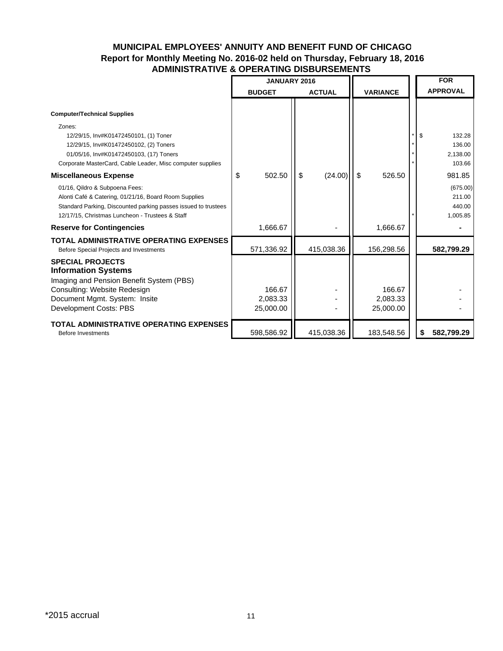## **MUNICIPAL EMPLOYEES' ANNUITY AND BENEFIT FUND OF CHICAGO Report for Monthly Meeting No. 2016-02 held on Thursday, February 18, 2016 ADMINISTRATIVE & OPERATING DISBURSEMENTS**

|                                                                                                                                                                                                              | <b>JANUARY 2016</b>             |    |               |                                 |    | <b>FOR</b>                               |
|--------------------------------------------------------------------------------------------------------------------------------------------------------------------------------------------------------------|---------------------------------|----|---------------|---------------------------------|----|------------------------------------------|
|                                                                                                                                                                                                              | <b>BUDGET</b>                   |    | <b>ACTUAL</b> | <b>VARIANCE</b>                 |    | <b>APPROVAL</b>                          |
| <b>Computer/Technical Supplies</b>                                                                                                                                                                           |                                 |    |               |                                 |    |                                          |
| Zones:<br>12/29/15, Inv#K01472450101, (1) Toner<br>12/29/15, Inv#K01472450102, (2) Toners<br>01/05/16, Inv#K01472450103, (17) Toners<br>Corporate MasterCard, Cable Leader, Misc computer supplies           |                                 |    |               |                                 | \$ | 132.28<br>136.00<br>2,138.00<br>103.66   |
| <b>Miscellaneous Expense</b>                                                                                                                                                                                 | \$<br>502.50                    | \$ | (24.00)       | \$<br>526.50                    |    | 981.85                                   |
| 01/16, Qildro & Subpoena Fees:<br>Alonti Café & Catering, 01/21/16, Board Room Supplies<br>Standard Parking, Discounted parking passes issued to trustees<br>12/17/15, Christmas Luncheon - Trustees & Staff |                                 |    |               |                                 |    | (675.00)<br>211.00<br>440.00<br>1,005.85 |
| <b>Reserve for Contingencies</b>                                                                                                                                                                             | 1,666.67                        |    |               | 1,666.67                        |    |                                          |
| TOTAL ADMINISTRATIVE OPERATING EXPENSES<br>Before Special Projects and Investments                                                                                                                           | 571,336.92                      |    | 415,038.36    | 156,298.56                      |    | 582,799.29                               |
| <b>SPECIAL PROJECTS</b><br><b>Information Systems</b><br>Imaging and Pension Benefit System (PBS)<br>Consulting: Website Redesign<br>Document Mgmt. System: Insite<br>Development Costs: PBS                 | 166.67<br>2,083.33<br>25,000.00 |    |               | 166.67<br>2,083.33<br>25,000.00 |    |                                          |
| <b>TOTAL ADMINISTRATIVE OPERATING EXPENSES</b><br><b>Before Investments</b>                                                                                                                                  | 598,586.92                      |    | 415,038.36    | 183,548.56                      | \$ | 582,799.29                               |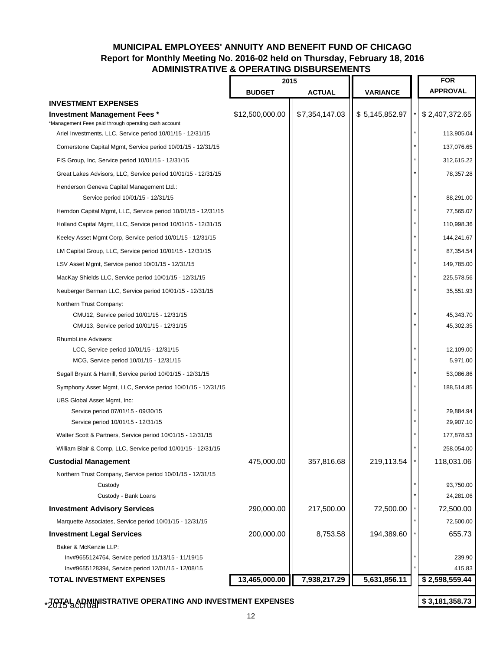### **ADMINISTRATIVE & OPERATING DISBURSEMENTS Report for Monthly Meeting No. 2016-02 held on Thursday, February 18, 2016 MUNICIPAL EMPLOYEES' ANNUITY AND BENEFIT FUND OF CHICAGO**

|                                                                                                                    | 2015            |                |                 | <b>FOR</b>            |
|--------------------------------------------------------------------------------------------------------------------|-----------------|----------------|-----------------|-----------------------|
|                                                                                                                    | <b>BUDGET</b>   | <b>ACTUAL</b>  | <b>VARIANCE</b> | <b>APPROVAL</b>       |
| <b>INVESTMENT EXPENSES</b>                                                                                         |                 |                |                 |                       |
| <b>Investment Management Fees *</b>                                                                                | \$12,500,000.00 | \$7,354,147.03 | \$5,145,852.97  | \$2,407,372.65        |
| *Management Fees paid through operating cash account<br>Ariel Investments, LLC, Service period 10/01/15 - 12/31/15 |                 |                |                 | 113,905.04            |
| Cornerstone Capital Mgmt, Service period 10/01/15 - 12/31/15                                                       |                 |                |                 | 137,076.65            |
| FIS Group, Inc. Service period 10/01/15 - 12/31/15                                                                 |                 |                |                 | 312,615.22            |
|                                                                                                                    |                 |                |                 | 78,357.28             |
| Great Lakes Advisors, LLC, Service period 10/01/15 - 12/31/15                                                      |                 |                |                 |                       |
| Henderson Geneva Capital Management Ltd.:<br>Service period 10/01/15 - 12/31/15                                    |                 |                |                 | 88,291.00             |
| Herndon Capital Mgmt, LLC, Service period 10/01/15 - 12/31/15                                                      |                 |                |                 | 77,565.07             |
| Holland Capital Mgmt, LLC, Service period 10/01/15 - 12/31/15                                                      |                 |                |                 | 110,998.36            |
| Keeley Asset Mgmt Corp, Service period 10/01/15 - 12/31/15                                                         |                 |                |                 | 144,241.67            |
| LM Capital Group, LLC, Service period 10/01/15 - 12/31/15                                                          |                 |                |                 | 87,354.54             |
| LSV Asset Mgmt, Service period 10/01/15 - 12/31/15                                                                 |                 |                |                 | 149,785.00            |
| MacKay Shields LLC, Service period 10/01/15 - 12/31/15                                                             |                 |                |                 | 225,578.56            |
| Neuberger Berman LLC, Service period 10/01/15 - 12/31/15                                                           |                 |                |                 | 35,551.93             |
| Northern Trust Company:                                                                                            |                 |                |                 |                       |
| CMU12, Service period 10/01/15 - 12/31/15                                                                          |                 |                |                 | 45,343.70             |
| CMU13, Service period 10/01/15 - 12/31/15                                                                          |                 |                |                 | 45,302.35             |
| RhumbLine Advisers:                                                                                                |                 |                |                 |                       |
| LCC, Service period 10/01/15 - 12/31/15                                                                            |                 |                |                 | 12,109.00<br>5,971.00 |
| MCG, Service period 10/01/15 - 12/31/15                                                                            |                 |                |                 |                       |
| Segall Bryant & Hamill, Service period 10/01/15 - 12/31/15                                                         |                 |                |                 | 53,086.86             |
| Symphony Asset Mgmt, LLC, Service period 10/01/15 - 12/31/15                                                       |                 |                |                 | 188,514.85            |
| UBS Global Asset Mgmt, Inc:<br>Service period 07/01/15 - 09/30/15                                                  |                 |                |                 | 29,884.94             |
| Service period 10/01/15 - 12/31/15                                                                                 |                 |                |                 | 29,907.10             |
| Walter Scott & Partners, Service period 10/01/15 - 12/31/15                                                        |                 |                |                 | 177,878.53            |
| William Blair & Comp, LLC, Service period 10/01/15 - 12/31/15                                                      |                 |                |                 | 258,054.00            |
| <b>Custodial Management</b>                                                                                        | 475,000.00      | 357,816.68     | 219,113.54      | 118,031.06            |
| Northern Trust Company, Service period 10/01/15 - 12/31/15                                                         |                 |                |                 |                       |
| Custody                                                                                                            |                 |                |                 | 93,750.00             |
| Custody - Bank Loans                                                                                               |                 |                |                 | 24,281.06             |
| <b>Investment Advisory Services</b>                                                                                | 290,000.00      | 217,500.00     | 72,500.00       | 72,500.00             |
| Marquette Associates, Service period 10/01/15 - 12/31/15                                                           |                 |                |                 | 72,500.00             |
| <b>Investment Legal Services</b>                                                                                   | 200,000.00      | 8,753.58       | 194,389.60      | 655.73                |
| Baker & McKenzie LLP:                                                                                              |                 |                |                 |                       |
| Inv#9655124764, Service period 11/13/15 - 11/19/15                                                                 |                 |                |                 | 239.90                |
| Inv#9655128394, Service period 12/01/15 - 12/08/15                                                                 |                 |                |                 | 415.83                |
| <b>TOTAL INVESTMENT EXPENSES</b>                                                                                   | 13,465,000.00   | 7,938,217.29   | 5,631,856.11    | \$2,598,559.44        |
|                                                                                                                    |                 |                |                 |                       |

**TOTAL ADMINISTRATIVE OPERATING AND INVESTMENT EXPENSES 3,181,358.73 \$**  \*2015 accrual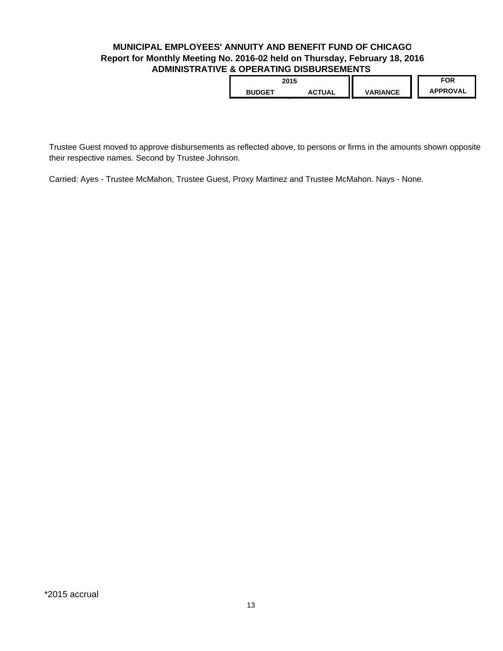### **ADMINISTRATIVE & OPERATING DISBURSEMENTS Report for Monthly Meeting No. 2016-02 held on Thursday, February 18, 2016 MUNICIPAL EMPLOYEES' ANNUITY AND BENEFIT FUND OF CHICAGO**

| 2015          |               |                 | FOR             |
|---------------|---------------|-----------------|-----------------|
| <b>BUDGET</b> | <b>ACTUAL</b> | <b>VARIANCE</b> | <b>APPROVAL</b> |
| j             |               |                 |                 |

Trustee Guest moved to approve disbursements as reflected above, to persons or firms in the amounts shown opposite their respective names. Second by Trustee Johnson.

Carried: Ayes - Trustee McMahon, Trustee Guest, Proxy Martinez and Trustee McMahon. Nays - None.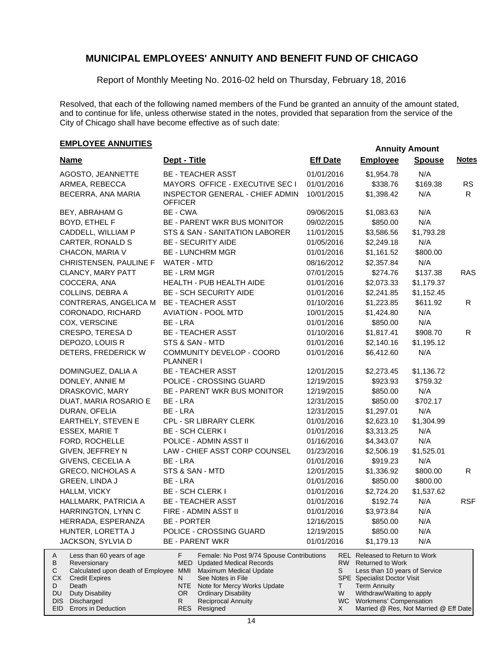Report of Monthly Meeting No. 2016-02 held on Thursday, February 18, 2016

Resolved, that each of the following named members of the Fund be granted an annuity of the amount stated, and to continue for life, unless otherwise stated in the notes, provided that separation from the service of the City of Chicago shall have become effective as of such date:

## **EMPLOYEE ANNUITIES**

| <b>Name</b>                                                                                                                                                                                                | Dept - Title                                                                                                                                                                                                                                                    | <b>Eff Date</b> | <b>Employee</b>                                                                                                                                                                                               | <b>Spouse</b> | <b>Notes</b> |
|------------------------------------------------------------------------------------------------------------------------------------------------------------------------------------------------------------|-----------------------------------------------------------------------------------------------------------------------------------------------------------------------------------------------------------------------------------------------------------------|-----------------|---------------------------------------------------------------------------------------------------------------------------------------------------------------------------------------------------------------|---------------|--------------|
| AGOSTO, JEANNETTE                                                                                                                                                                                          | <b>BE - TEACHER ASST</b>                                                                                                                                                                                                                                        | 01/01/2016      | \$1,954.78                                                                                                                                                                                                    | N/A           |              |
| ARMEA, REBECCA                                                                                                                                                                                             | MAYORS OFFICE - EXECUTIVE SEC I                                                                                                                                                                                                                                 | 01/01/2016      | \$338.76                                                                                                                                                                                                      | \$169.38      | <b>RS</b>    |
| BECERRA, ANA MARIA                                                                                                                                                                                         | INSPECTOR GENERAL - CHIEF ADMIN<br><b>OFFICER</b>                                                                                                                                                                                                               | 10/01/2015      | \$1,398.42                                                                                                                                                                                                    | N/A           | R            |
| BEY, ABRAHAM G                                                                                                                                                                                             | BE - CWA                                                                                                                                                                                                                                                        | 09/06/2015      | \$1,083.63                                                                                                                                                                                                    | N/A           |              |
| BOYD, ETHEL F                                                                                                                                                                                              | <b>BE - PARENT WKR BUS MONITOR</b>                                                                                                                                                                                                                              | 09/02/2015      | \$850.00                                                                                                                                                                                                      | N/A           |              |
| CADDELL, WILLIAM P                                                                                                                                                                                         | STS & SAN - SANITATION LABORER                                                                                                                                                                                                                                  | 11/01/2015      | \$3,586.56                                                                                                                                                                                                    | \$1,793.28    |              |
| CARTER, RONALD S                                                                                                                                                                                           | <b>BE - SECURITY AIDE</b>                                                                                                                                                                                                                                       | 01/05/2016      | \$2,249.18                                                                                                                                                                                                    | N/A           |              |
| CHACON, MARIA V                                                                                                                                                                                            | <b>BE - LUNCHRM MGR</b>                                                                                                                                                                                                                                         | 01/01/2016      | \$1,161.52                                                                                                                                                                                                    | \$800.00      |              |
| CHRISTENSEN, PAULINE F                                                                                                                                                                                     | WATER - MTD                                                                                                                                                                                                                                                     | 08/16/2012      | \$2,357.84                                                                                                                                                                                                    | N/A           |              |
| CLANCY, MARY PATT                                                                                                                                                                                          | <b>BE - LRM MGR</b>                                                                                                                                                                                                                                             | 07/01/2015      | \$274.76                                                                                                                                                                                                      | \$137.38      | <b>RAS</b>   |
| COCCERA, ANA                                                                                                                                                                                               | HEALTH - PUB HEALTH AIDE                                                                                                                                                                                                                                        | 01/01/2016      | \$2,073.33                                                                                                                                                                                                    | \$1,179.37    |              |
| COLLINS, DEBRA A                                                                                                                                                                                           | <b>BE - SCH SECURITY AIDE</b>                                                                                                                                                                                                                                   | 01/01/2016      | \$2,241.85                                                                                                                                                                                                    | \$1,152.45    |              |
| CONTRERAS, ANGELICA M                                                                                                                                                                                      | <b>BE - TEACHER ASST</b>                                                                                                                                                                                                                                        | 01/10/2016      | \$1,223.85                                                                                                                                                                                                    | \$611.92      | R            |
| CORONADO, RICHARD                                                                                                                                                                                          | <b>AVIATION - POOL MTD</b>                                                                                                                                                                                                                                      | 10/01/2015      | \$1,424.80                                                                                                                                                                                                    | N/A           |              |
| COX, VERSCINE                                                                                                                                                                                              | BE - LRA                                                                                                                                                                                                                                                        | 01/01/2016      | \$850.00                                                                                                                                                                                                      | N/A           |              |
| CRESPO, TERESA D                                                                                                                                                                                           | <b>BE - TEACHER ASST</b>                                                                                                                                                                                                                                        | 01/10/2016      | \$1,817.41                                                                                                                                                                                                    | \$908.70      | R            |
| DEPOZO, LOUIS R                                                                                                                                                                                            | STS & SAN - MTD                                                                                                                                                                                                                                                 | 01/01/2016      | \$2,140.16                                                                                                                                                                                                    | \$1,195.12    |              |
| DETERS, FREDERICK W                                                                                                                                                                                        | COMMUNITY DEVELOP - COORD<br><b>PLANNER I</b>                                                                                                                                                                                                                   | 01/01/2016      | \$6,412.60                                                                                                                                                                                                    | N/A           |              |
| DOMINGUEZ, DALIA A                                                                                                                                                                                         | <b>BE - TEACHER ASST</b>                                                                                                                                                                                                                                        | 12/01/2015      | \$2,273.45                                                                                                                                                                                                    | \$1,136.72    |              |
| DONLEY, ANNIE M                                                                                                                                                                                            | POLICE - CROSSING GUARD                                                                                                                                                                                                                                         | 12/19/2015      | \$923.93                                                                                                                                                                                                      | \$759.32      |              |
| DRASKOVIC, MARY                                                                                                                                                                                            | <b>BE - PARENT WKR BUS MONITOR</b>                                                                                                                                                                                                                              | 12/19/2015      | \$850.00                                                                                                                                                                                                      | N/A           |              |
| DUAT, MARIA ROSARIO E                                                                                                                                                                                      | BE - LRA                                                                                                                                                                                                                                                        | 12/31/2015      | \$850.00                                                                                                                                                                                                      | \$702.17      |              |
| DURAN, OFELIA                                                                                                                                                                                              | BE - LRA                                                                                                                                                                                                                                                        | 12/31/2015      | \$1,297.01                                                                                                                                                                                                    | N/A           |              |
| EARTHELY, STEVEN E                                                                                                                                                                                         | CPL - SR LIBRARY CLERK                                                                                                                                                                                                                                          | 01/01/2016      | \$2,623.10                                                                                                                                                                                                    | \$1,304.99    |              |
| ESSEX, MARIE T                                                                                                                                                                                             | <b>BE - SCH CLERK I</b>                                                                                                                                                                                                                                         | 01/01/2016      | \$3,313.25                                                                                                                                                                                                    | N/A           |              |
| FORD, ROCHELLE                                                                                                                                                                                             | POLICE - ADMIN ASST II                                                                                                                                                                                                                                          | 01/16/2016      | \$4,343.07                                                                                                                                                                                                    | N/A           |              |
| GIVEN, JEFFREY N                                                                                                                                                                                           | LAW - CHIEF ASST CORP COUNSEL                                                                                                                                                                                                                                   | 01/23/2016      | \$2,506.19                                                                                                                                                                                                    | \$1,525.01    |              |
| GIVENS, CECELIA A                                                                                                                                                                                          | BE - LRA                                                                                                                                                                                                                                                        | 01/01/2016      | \$919.23                                                                                                                                                                                                      | N/A           |              |
| <b>GRECO, NICHOLAS A</b>                                                                                                                                                                                   | STS & SAN - MTD                                                                                                                                                                                                                                                 | 12/01/2015      | \$1,336.92                                                                                                                                                                                                    | \$800.00      | R            |
| GREEN, LINDA J                                                                                                                                                                                             | BE - LRA                                                                                                                                                                                                                                                        | 01/01/2016      | \$850.00                                                                                                                                                                                                      | \$800.00      |              |
| HALLM, VICKY                                                                                                                                                                                               | BE - SCH CLERK I                                                                                                                                                                                                                                                | 01/01/2016      | \$2,724.20                                                                                                                                                                                                    | \$1,537.62    |              |
| HALLMARK, PATRICIA A                                                                                                                                                                                       | <b>BE - TEACHER ASST</b>                                                                                                                                                                                                                                        | 01/01/2016      | \$192.74                                                                                                                                                                                                      | N/A           | <b>RSF</b>   |
| HARRINGTON, LYNN C                                                                                                                                                                                         | FIRE - ADMIN ASST II                                                                                                                                                                                                                                            | 01/01/2016      | \$3,973.84                                                                                                                                                                                                    | N/A           |              |
| HERRADA, ESPERANZA                                                                                                                                                                                         | <b>BE - PORTER</b>                                                                                                                                                                                                                                              | 12/16/2015      | \$850.00                                                                                                                                                                                                      | N/A           |              |
| HUNTER, LORETTA J                                                                                                                                                                                          | POLICE - CROSSING GUARD                                                                                                                                                                                                                                         | 12/19/2015      | \$850.00                                                                                                                                                                                                      | N/A           |              |
| JACKSON, SYLVIA D                                                                                                                                                                                          | <b>BE - PARENT WKR</b>                                                                                                                                                                                                                                          | 01/01/2016      | \$1,179.13                                                                                                                                                                                                    | N/A           |              |
| Less than 60 years of age<br>A<br>В<br>Reversionary<br>Calculated upon death of Employee MMI<br>С<br>СX<br><b>Credit Expires</b><br>D<br>Death<br><b>Duty Disability</b><br>DU<br>Discharged<br><b>DIS</b> | F.<br>Female: No Post 9/74 Spouse Contributions<br><b>MED</b> Updated Medical Records<br><b>Maximum Medical Update</b><br>See Notes in File<br>N<br>NTE.<br>Note for Mercy Works Update<br><b>Ordinary Disability</b><br>OR.<br><b>Reciprocal Annuity</b><br>R. | S<br>Τ<br>W     | <b>REL Released to Return to Work</b><br>RW Returned to Work<br>Less than 10 years of Service<br>SPE Specialist Doctor Visit<br><b>Term Annuity</b><br>Withdraw/Waiting to apply<br>WC Workmens' Compensation |               |              |
| EID<br>Errors in Deduction                                                                                                                                                                                 | RES Resigned                                                                                                                                                                                                                                                    | X               | Married @ Res, Not Married @ Eff Date                                                                                                                                                                         |               |              |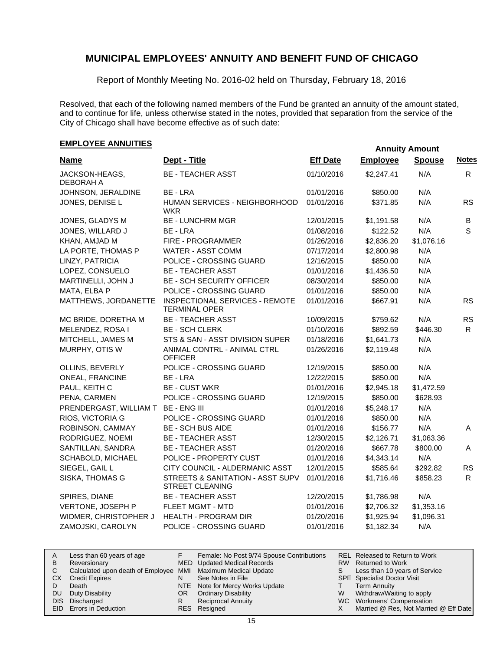Report of Monthly Meeting No. 2016-02 held on Thursday, February 18, 2016

Resolved, that each of the following named members of the Fund be granted an annuity of the amount stated, and to continue for life, unless otherwise stated in the notes, provided that separation from the service of the City of Chicago shall have become effective as of such date:

## **EMPLOYEE ANNUITIES**

| <b>Name</b>                         | Dept - Title                                           | <b>Eff Date</b> | <b>Employee</b> | <b>Spouse</b> | <b>Notes</b> |
|-------------------------------------|--------------------------------------------------------|-----------------|-----------------|---------------|--------------|
| JACKSON-HEAGS,<br>DEBORAH A         | <b>BE - TEACHER ASST</b>                               | 01/10/2016      | \$2,247.41      | N/A           | R.           |
| JOHNSON, JERALDINE                  | BE - LRA                                               | 01/01/2016      | \$850.00        | N/A           |              |
| JONES, DENISE L                     | HUMAN SERVICES - NEIGHBORHOOD<br>WKR                   | 01/01/2016      | \$371.85        | N/A           | <b>RS</b>    |
| JONES, GLADYS M                     | <b>BE - LUNCHRM MGR</b>                                | 12/01/2015      | \$1,191.58      | N/A           | В            |
| JONES, WILLARD J                    | BE - LRA                                               | 01/08/2016      | \$122.52        | N/A           | S            |
| KHAN, AMJAD M                       | FIRE - PROGRAMMER                                      | 01/26/2016      | \$2,836.20      | \$1,076.16    |              |
| LA PORTE, THOMAS P                  | WATER - ASST COMM                                      | 07/17/2014      | \$2,800.98      | N/A           |              |
| LINZY, PATRICIA                     | POLICE - CROSSING GUARD                                | 12/16/2015      | \$850.00        | N/A           |              |
| LOPEZ, CONSUELO                     | <b>BE - TEACHER ASST</b>                               | 01/01/2016      | \$1,436.50      | N/A           |              |
| MARTINELLI, JOHN J                  | <b>BE - SCH SECURITY OFFICER</b>                       | 08/30/2014      | \$850.00        | N/A           |              |
| MATA, ELBA P                        | POLICE - CROSSING GUARD                                | 01/01/2016      | \$850.00        | N/A           |              |
| MATTHEWS, JORDANETTE                | INSPECTIONAL SERVICES - REMOTE<br><b>TERMINAL OPER</b> | 01/01/2016      | \$667.91        | N/A           | <b>RS</b>    |
| MC BRIDE, DORETHA M                 | <b>BE - TEACHER ASST</b>                               | 10/09/2015      | \$759.62        | N/A           | <b>RS</b>    |
| MELENDEZ, ROSA I                    | <b>BE - SCH CLERK</b>                                  | 01/10/2016      | \$892.59        | \$446.30      | R.           |
| MITCHELL, JAMES M                   | STS & SAN - ASST DIVISION SUPER                        | 01/18/2016      | \$1,641.73      | N/A           |              |
| MURPHY, OTIS W                      | ANIMAL CONTRL - ANIMAL CTRL<br><b>OFFICER</b>          | 01/26/2016      | \$2,119.48      | N/A           |              |
| OLLINS, BEVERLY                     | POLICE - CROSSING GUARD                                | 12/19/2015      | \$850.00        | N/A           |              |
| <b>ONEAL, FRANCINE</b>              | BE - LRA                                               | 12/22/2015      | \$850.00        | N/A           |              |
| PAUL, KEITH C                       | <b>BE - CUST WKR</b>                                   | 01/01/2016      | \$2,945.18      | \$1,472.59    |              |
| PENA, CARMEN                        | POLICE - CROSSING GUARD                                | 12/19/2015      | \$850.00        | \$628.93      |              |
| PRENDERGAST, WILLIAM T BE - ENG III |                                                        | 01/01/2016      | \$5,248.17      | N/A           |              |
| RIOS, VICTORIA G                    | POLICE - CROSSING GUARD                                | 01/01/2016      | \$850.00        | N/A           |              |
| ROBINSON, CAMMAY                    | <b>BE - SCH BUS AIDE</b>                               | 01/01/2016      | \$156.77        | N/A           | A            |
| RODRIGUEZ, NOEMI                    | <b>BE - TEACHER ASST</b>                               | 12/30/2015      | \$2,126.71      | \$1,063.36    |              |
| SANTILLAN, SANDRA                   | <b>BE - TEACHER ASST</b>                               | 01/20/2016      | \$667.78        | \$800.00      | A            |
| SCHABOLD, MICHAEL                   | POLICE - PROPERTY CUST                                 | 01/01/2016      | \$4,343.14      | N/A           |              |
| SIEGEL, GAIL L                      | CITY COUNCIL - ALDERMANIC ASST                         | 12/01/2015      | \$585.64        | \$292.82      | <b>RS</b>    |
| SISKA, THOMAS G                     | STREETS & SANITATION - ASST SUPV<br>STREET CLEANING    | 01/01/2016      | \$1,716.46      | \$858.23      | R            |
| SPIRES, DIANE                       | <b>BE - TEACHER ASST</b>                               | 12/20/2015      | \$1,786.98      | N/A           |              |
| VERTONE, JOSEPH P                   | FLEET MGMT - MTD                                       | 01/01/2016      | \$2,706.32      | \$1,353.16    |              |
| WIDMER, CHRISTOPHER J               | <b>HEALTH - PROGRAM DIR</b>                            | 01/20/2016      | \$1,925.94      | \$1,096.31    |              |
| ZAMOJSKI, CAROLYN                   | POLICE - CROSSING GUARD                                | 01/01/2016      | \$1,182.34      | N/A           |              |

| A         | Less than 60 years of age                                    |     | Female: No Post 9/74 Spouse Contributions |    | REL Released to Return to Work        |
|-----------|--------------------------------------------------------------|-----|-------------------------------------------|----|---------------------------------------|
| B         | Reversionary                                                 |     | MED Updated Medical Records               |    | RW Returned to Work                   |
|           | Calculated upon death of Employee MMI Maximum Medical Update |     |                                           | S. | Less than 10 years of Service         |
| <b>CX</b> | <b>Credit Expires</b>                                        |     | See Notes in File                         |    | <b>SPE</b> Specialist Doctor Visit    |
|           | Death                                                        |     | NTE Note for Mercy Works Update           |    | <b>Term Annuity</b>                   |
| DU.       | Duty Disability                                              | OR. | <b>Ordinary Disability</b>                | W  | Withdraw/Waiting to apply             |
|           | DIS Discharged                                               |     | <b>Reciprocal Annuity</b>                 |    | WC Workmens' Compensation             |
|           | EID Errors in Deduction                                      |     | RES Resigned                              |    | Married @ Res, Not Married @ Eff Date |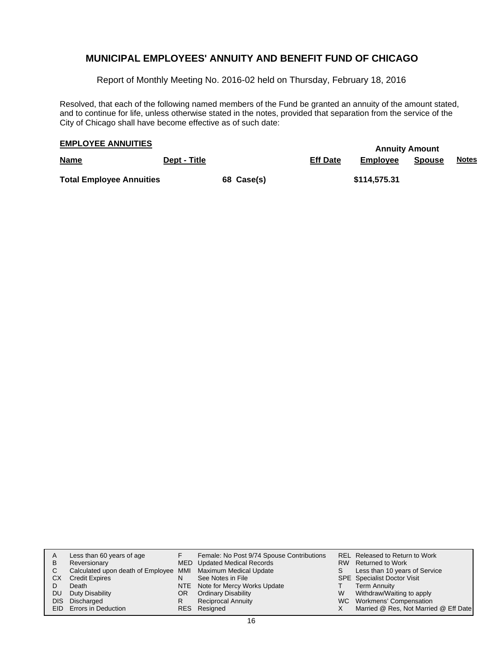Report of Monthly Meeting No. 2016-02 held on Thursday, February 18, 2016

Resolved, that each of the following named members of the Fund be granted an annuity of the amount stated, and to continue for life, unless otherwise stated in the notes, provided that separation from the service of the City of Chicago shall have become effective as of such date:

## **EMPLOYEE ANNUITIES**

|                                                                                    |              |            |                 | <i>r</i> mnoncy <i>r</i> moveme |        |              |
|------------------------------------------------------------------------------------|--------------|------------|-----------------|---------------------------------|--------|--------------|
| <b>Name</b><br>$\overline{\phantom{a}}$ . The contract of $\overline{\phantom{a}}$ | Dept - Title |            | <b>Eff Date</b> | Employee                        | Spouse | <u>Notes</u> |
| <b>Total Employee Annuities</b>                                                    |              | 68 Case(s) |                 | \$114,575.31                    |        |              |

| A    | Less than 60 years of age                                    |     | Female: No Post 9/74 Spouse Contributions |    | REL Released to Return to Work        |
|------|--------------------------------------------------------------|-----|-------------------------------------------|----|---------------------------------------|
| B    | Reversionary                                                 |     | MED Updated Medical Records               |    | RW Returned to Work                   |
| C.   | Calculated upon death of Employee MMI Maximum Medical Update |     |                                           | S. | Less than 10 years of Service         |
| СX   | <b>Credit Expires</b>                                        | N   | See Notes in File                         |    | <b>SPE</b> Specialist Doctor Visit    |
|      | Death                                                        |     | NTE Note for Mercy Works Update           |    | <b>Term Annuity</b>                   |
| DU.  | Duty Disability                                              | OR. | <b>Ordinary Disability</b>                | W  | Withdraw/Waiting to apply             |
| DIS. | Discharged                                                   | R   | <b>Reciprocal Annuity</b>                 |    | WC Workmens' Compensation             |
|      | EID Errors in Deduction                                      |     | RES Resigned                              |    | Married @ Res, Not Married @ Eff Date |
|      |                                                              |     |                                           |    |                                       |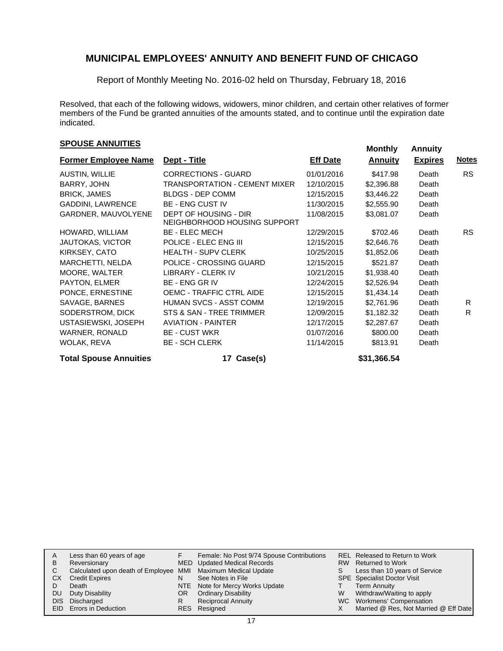Report of Monthly Meeting No. 2016-02 held on Thursday, February 18, 2016

Resolved, that each of the following widows, widowers, minor children, and certain other relatives of former members of the Fund be granted annuities of the amounts stated, and to continue until the expiration date indicated.

## **EXPOUSE ANNUITIES SPOUSE ANNUITIES**

|                                                       |            | <b>Annuity</b>                                                 | <b>Expires</b> | <b>Notes</b> |
|-------------------------------------------------------|------------|----------------------------------------------------------------|----------------|--------------|
| <b>CORRECTIONS - GUARD</b>                            | 01/01/2016 | \$417.98                                                       | Death          | <b>RS</b>    |
| TRANSPORTATION - CEMENT MIXER                         | 12/10/2015 | \$2,396.88                                                     | Death          |              |
| <b>BLDGS - DEP COMM</b>                               | 12/15/2015 | \$3,446.22                                                     | Death          |              |
| <b>BE - ENG CUST IV</b>                               | 11/30/2015 | \$2,555.90                                                     | Death          |              |
| DEPT OF HOUSING - DIR<br>NEIGHBORHOOD HOUSING SUPPORT | 11/08/2015 | \$3,081.07                                                     | Death          |              |
| <b>BE - ELEC MECH</b>                                 | 12/29/2015 | \$702.46                                                       | Death          | RS.          |
| POLICE - ELEC ENG III                                 | 12/15/2015 | \$2,646.76                                                     | Death          |              |
| <b>HEALTH - SUPV CLERK</b>                            | 10/25/2015 | \$1,852.06                                                     | Death          |              |
| POLICE - CROSSING GUARD                               | 12/15/2015 | \$521.87                                                       | Death          |              |
| <b>LIBRARY - CLERK IV</b>                             | 10/21/2015 | \$1,938.40                                                     | Death          |              |
| <b>BE - ENG GR IV</b>                                 | 12/24/2015 | \$2,526.94                                                     | Death          |              |
| <b>OEMC - TRAFFIC CTRL AIDE</b>                       | 12/15/2015 | \$1,434.14                                                     | Death          |              |
| <b>HUMAN SVCS - ASST COMM</b>                         | 12/19/2015 | \$2,761.96                                                     | Death          | R            |
| STS & SAN - TREE TRIMMER                              | 12/09/2015 | \$1,182.32                                                     | Death          | R            |
| <b>AVIATION - PAINTER</b>                             | 12/17/2015 | \$2,287.67                                                     | Death          |              |
| <b>BE - CUST WKR</b>                                  | 01/07/2016 | \$800.00                                                       | Death          |              |
| <b>BE - SCH CLERK</b>                                 | 11/14/2015 | \$813.91                                                       | Death          |              |
|                                                       |            | <b>Former Employee Name</b><br>Dept - Title<br><b>Eff Date</b> |                |              |

Total Spouse Annuities **17 Case(s) 17 Case(s)** \$31,366.54

| A  | Less than 60 years of age                                    |     | Female: No Post 9/74 Spouse Contributions |   | REL Released to Return to Work        |
|----|--------------------------------------------------------------|-----|-------------------------------------------|---|---------------------------------------|
| в  | Reversionary                                                 |     | MED Updated Medical Records               |   | RW Returned to Work                   |
|    | Calculated upon death of Employee MMI Maximum Medical Update |     |                                           |   | Less than 10 years of Service         |
| СX | <b>Credit Expires</b>                                        |     | See Notes in File                         |   | <b>SPE</b> Specialist Doctor Visit    |
|    | Death                                                        |     | NTE Note for Mercy Works Update           |   | <b>Term Annuity</b>                   |
| DU | Duty Disability                                              | OR. | <b>Ordinary Disability</b>                | W | Withdraw/Waiting to apply             |
|    | DIS Discharged                                               |     | <b>Reciprocal Annuity</b>                 |   | WC Workmens' Compensation             |
|    | <b>EID</b> Errors in Deduction                               |     | RES Resigned                              |   | Married @ Res, Not Married @ Eff Date |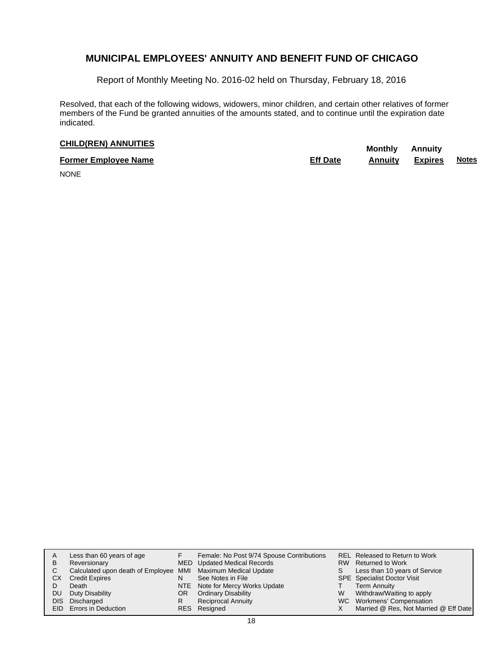Report of Monthly Meeting No. 2016-02 held on Thursday, February 18, 2016

Resolved, that each of the following widows, widowers, minor children, and certain other relatives of former members of the Fund be granted annuities of the amounts stated, and to continue until the expiration date indicated.

## **CHILD(REN) ANNUITIES Monthly** Annuity

| <b>Former Employee Name</b> | <b>Eff Date</b> | Annuitv | Expires | <b>Notes</b> |
|-----------------------------|-----------------|---------|---------|--------------|
| --------                    |                 |         |         |              |

NONE

| в<br>C.<br>CХ<br>DU | Less than 60 years of age<br>Reversionary<br>Calculated upon death of Employee MMI Maximum Medical Update<br><b>Credit Expires</b><br>Death<br>Duty Disability<br>DIS Discharged<br>EID Errors in Deduction | OR<br>R | Female: No Post 9/74 Spouse Contributions<br>MED Updated Medical Records<br>See Notes in File<br>NTE Note for Mercy Works Update<br><b>Ordinary Disability</b><br><b>Reciprocal Annuity</b><br>RES Resigned | W | REL Released to Return to Work<br>RW Returned to Work<br>Less than 10 years of Service<br>SPE Specialist Doctor Visit<br><b>Term Annuity</b><br>Withdraw/Waiting to apply<br>WC Workmens' Compensation<br>Married @ Res, Not Married @ Eff Date |
|---------------------|-------------------------------------------------------------------------------------------------------------------------------------------------------------------------------------------------------------|---------|-------------------------------------------------------------------------------------------------------------------------------------------------------------------------------------------------------------|---|-------------------------------------------------------------------------------------------------------------------------------------------------------------------------------------------------------------------------------------------------|
|---------------------|-------------------------------------------------------------------------------------------------------------------------------------------------------------------------------------------------------------|---------|-------------------------------------------------------------------------------------------------------------------------------------------------------------------------------------------------------------|---|-------------------------------------------------------------------------------------------------------------------------------------------------------------------------------------------------------------------------------------------------|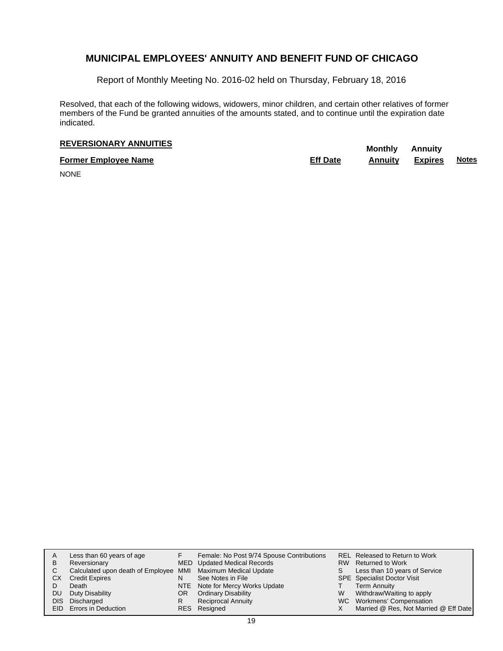Report of Monthly Meeting No. 2016-02 held on Thursday, February 18, 2016

Resolved, that each of the following widows, widowers, minor children, and certain other relatives of former members of the Fund be granted annuities of the amounts stated, and to continue until the expiration date indicated.

## **REVERSIONARY ANNUITIES** Monthly Annuity

**Former Employee Name Eff Date Annuity Expires Notes**

NONE

| Α  | Less than 60 years of age                                    |     | Female: No Post 9/74 Spouse Contributions |    | REL Released to Return to Work        |
|----|--------------------------------------------------------------|-----|-------------------------------------------|----|---------------------------------------|
| в  | Reversionary                                                 |     | MED Updated Medical Records               |    | RW Returned to Work                   |
| C. | Calculated upon death of Employee MMI Maximum Medical Update |     |                                           | S. | Less than 10 years of Service         |
| CХ | <b>Credit Expires</b>                                        |     | See Notes in File                         |    | <b>SPE</b> Specialist Doctor Visit    |
|    | Death                                                        |     | NTE Note for Mercy Works Update           |    | <b>Term Annuity</b>                   |
| DU | Duty Disability                                              | OR. | <b>Ordinary Disability</b>                | W  | Withdraw/Waiting to apply             |
|    | DIS Discharged                                               | R   | <b>Reciprocal Annuity</b>                 |    | WC Workmens' Compensation             |
|    | EID Errors in Deduction                                      |     | RES Resigned                              |    | Married @ Res, Not Married @ Eff Date |
|    |                                                              |     |                                           |    |                                       |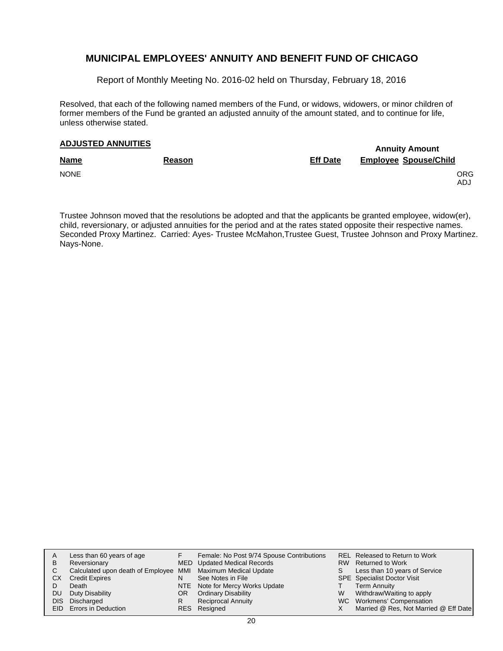Report of Monthly Meeting No. 2016-02 held on Thursday, February 18, 2016

Resolved, that each of the following named members of the Fund, or widows, widowers, or minor children of former members of the Fund be granted an adjusted annuity of the amount stated, and to continue for life, unless otherwise stated.

## **Annuity Amount ADJUSTED ANNUITIES**

| <b>Name</b> | Reason | <b>Eff Date</b> | <b>Employee Spouse/Child</b> |
|-------------|--------|-----------------|------------------------------|
| <b>NONE</b> |        |                 | ORG.<br>ADJ.                 |

Trustee Johnson moved that the resolutions be adopted and that the applicants be granted employee, widow(er), child, reversionary, or adjusted annuities for the period and at the rates stated opposite their respective names. Seconded Proxy Martinez. Carried: Ayes- Trustee McMahon,Trustee Guest, Trustee Johnson and Proxy Martinez. Nays-None.

| A   | Less than 60 years of age                                    |    | Female: No Post 9/74 Spouse Contributions |   | REL Released to Return to Work        |
|-----|--------------------------------------------------------------|----|-------------------------------------------|---|---------------------------------------|
| B   | Reversionary                                                 |    | <b>MED</b> Updated Medical Records        |   | RW Returned to Work                   |
|     | Calculated upon death of Employee MMI Maximum Medical Update |    |                                           |   | Less than 10 years of Service         |
| CХ  | <b>Credit Expires</b>                                        | N  | See Notes in File                         |   | <b>SPE</b> Specialist Doctor Visit    |
|     | Death                                                        |    | NTE Note for Mercy Works Update           |   | <b>Term Annuity</b>                   |
| DU. | Duty Disability                                              | OR | <b>Ordinary Disability</b>                | W | Withdraw/Waiting to apply             |
|     | DIS Discharged                                               | R  | <b>Reciprocal Annuity</b>                 |   | WC Workmens' Compensation             |
|     | <b>EID</b> Errors in Deduction                               |    | RES Resigned                              |   | Married @ Res, Not Married @ Eff Date |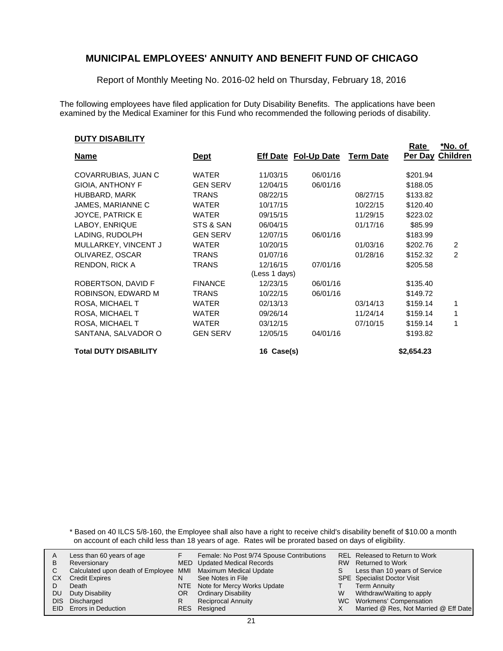Report of Monthly Meeting No. 2016-02 held on Thursday, February 18, 2016

The following employees have filed application for Duty Disability Benefits. The applications have been examined by the Medical Examiner for this Fund who recommended the following periods of disability.

### **DUTY DISABILITY**

| <u>, , , , , , , , , , , , , ,</u> |                 |                             |          |                  | <u>Rate</u> | <u>*No. of</u>  |
|------------------------------------|-----------------|-----------------------------|----------|------------------|-------------|-----------------|
| <b>Name</b>                        | <u>Dept</u>     | <b>Eff Date Fol-Up Date</b> |          | <b>Term Date</b> | Per Day     | <b>Children</b> |
| COVARRUBIAS, JUAN C                | <b>WATER</b>    | 11/03/15                    | 06/01/16 |                  | \$201.94    |                 |
| <b>GIOIA, ANTHONY F</b>            | <b>GEN SERV</b> | 12/04/15                    | 06/01/16 |                  | \$188.05    |                 |
| HUBBARD, MARK                      | <b>TRANS</b>    | 08/22/15                    |          | 08/27/15         | \$133.82    |                 |
| JAMES, MARIANNE C                  | <b>WATER</b>    | 10/17/15                    |          | 10/22/15         | \$120.40    |                 |
| <b>JOYCE, PATRICK E</b>            | <b>WATER</b>    | 09/15/15                    |          | 11/29/15         | \$223.02    |                 |
| LABOY, ENRIQUE                     | STS & SAN       | 06/04/15                    |          | 01/17/16         | \$85.99     |                 |
| LADING, RUDOLPH                    | <b>GEN SERV</b> | 12/07/15                    | 06/01/16 |                  | \$183.99    |                 |
| MULLARKEY, VINCENT J               | <b>WATER</b>    | 10/20/15                    |          | 01/03/16         | \$202.76    | 2               |
| OLIVAREZ, OSCAR                    | <b>TRANS</b>    | 01/07/16                    |          | 01/28/16         | \$152.32    | 2               |
| <b>RENDON, RICK A</b>              | <b>TRANS</b>    | 12/16/15                    | 07/01/16 |                  | \$205.58    |                 |
|                                    |                 | (Less 1 days)               |          |                  |             |                 |
| ROBERTSON, DAVID F                 | <b>FINANCE</b>  | 12/23/15                    | 06/01/16 |                  | \$135.40    |                 |
| ROBINSON, EDWARD M                 | <b>TRANS</b>    | 10/22/15                    | 06/01/16 |                  | \$149.72    |                 |
| ROSA, MICHAEL T                    | <b>WATER</b>    | 02/13/13                    |          | 03/14/13         | \$159.14    | 1               |
| ROSA, MICHAEL T                    | <b>WATER</b>    | 09/26/14                    |          | 11/24/14         | \$159.14    | 1               |
| ROSA, MICHAEL T                    | <b>WATER</b>    | 03/12/15                    |          | 07/10/15         | \$159.14    | 1               |
| SANTANA, SALVADOR O                | <b>GEN SERV</b> | 12/05/15                    | 04/01/16 |                  | \$193.82    |                 |
| <b>Total DUTY DISABILITY</b>       |                 | 16 Case(s)                  |          |                  | \$2,654.23  |                 |

\* Based on 40 ILCS 5/8-160, the Employee shall also have a right to receive child's disability benefit of \$10.00 a month on account of each child less than 18 years of age. Rates will be prorated based on days of eligibility.

|    | Less than 60 years of age                                    |    | Female: No Post 9/74 Spouse Contributions |    | REL Released to Return to Work        |
|----|--------------------------------------------------------------|----|-------------------------------------------|----|---------------------------------------|
|    |                                                              |    |                                           |    |                                       |
| В  | Reversionary                                                 |    | MED Updated Medical Records               |    | RW Returned to Work                   |
|    | Calculated upon death of Employee MMI Maximum Medical Update |    |                                           | S. | Less than 10 years of Service         |
| СX | <b>Credit Expires</b>                                        | N  | See Notes in File                         |    | <b>SPE</b> Specialist Doctor Visit    |
|    | Death                                                        |    | NTE Note for Mercy Works Update           |    | Term Annuity                          |
| DU | Duty Disability                                              | OR | <b>Ordinary Disability</b>                | W  | Withdraw/Waiting to apply             |
|    | DIS Discharged                                               |    | <b>Reciprocal Annuity</b>                 |    | WC Workmens' Compensation             |
|    | EID Errors in Deduction                                      |    | RES Resigned                              |    | Married @ Res, Not Married @ Eff Date |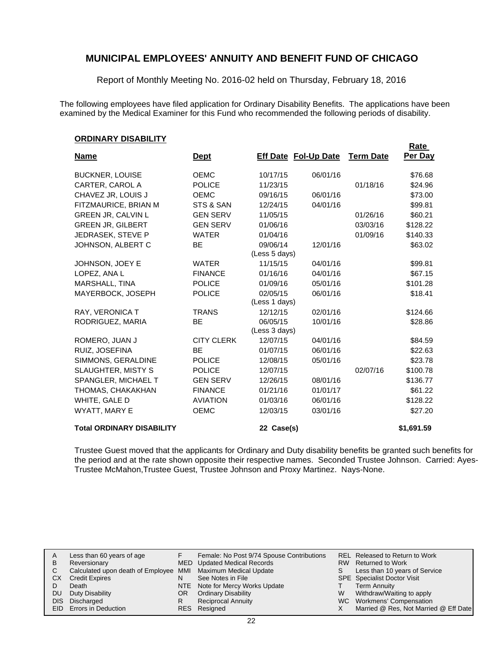Report of Monthly Meeting No. 2016-02 held on Thursday, February 18, 2016

The following employees have filed application for Ordinary Disability Benefits. The applications have been examined by the Medical Examiner for this Fund who recommended the following periods of disability.

**Rate** 

#### **ORDINARY DISABILITY**

| <b>Name</b>                      | <u>Dept</u>       |                           | <b>Eff Date Fol-Up Date</b> | <b>Term Date</b> | nalt<br>Per Day |
|----------------------------------|-------------------|---------------------------|-----------------------------|------------------|-----------------|
| <b>BUCKNER, LOUISE</b>           | <b>OEMC</b>       | 10/17/15                  | 06/01/16                    |                  | \$76.68         |
| CARTER, CAROL A                  | <b>POLICE</b>     | 11/23/15                  |                             | 01/18/16         | \$24.96         |
| CHAVEZ JR, LOUIS J               | <b>OEMC</b>       | 09/16/15                  | 06/01/16                    |                  | \$73.00         |
| FITZMAURICE, BRIAN M             | STS & SAN         | 12/24/15                  | 04/01/16                    |                  | \$99.81         |
| <b>GREEN JR, CALVIN L</b>        | <b>GEN SERV</b>   | 11/05/15                  |                             | 01/26/16         | \$60.21         |
| <b>GREEN JR, GILBERT</b>         | <b>GEN SERV</b>   | 01/06/16                  |                             | 03/03/16         | \$128.22        |
| JEDRASEK, STEVE P                | <b>WATER</b>      | 01/04/16                  |                             | 01/09/16         | \$140.33        |
| JOHNSON, ALBERT C                | <b>BE</b>         | 09/06/14<br>(Less 5 days) | 12/01/16                    |                  | \$63.02         |
| JOHNSON, JOEY E                  | <b>WATER</b>      | 11/15/15                  | 04/01/16                    |                  | \$99.81         |
| LOPEZ, ANA L                     | <b>FINANCE</b>    | 01/16/16                  | 04/01/16                    |                  | \$67.15         |
| MARSHALL, TINA                   | <b>POLICE</b>     | 01/09/16                  | 05/01/16                    |                  | \$101.28        |
| MAYERBOCK, JOSEPH                | <b>POLICE</b>     | 02/05/15<br>(Less 1 days) | 06/01/16                    |                  | \$18.41         |
| RAY, VERONICA T                  | <b>TRANS</b>      | 12/12/15                  | 02/01/16                    |                  | \$124.66        |
| RODRIGUEZ, MARIA                 | <b>BE</b>         | 06/05/15<br>(Less 3 days) | 10/01/16                    |                  | \$28.86         |
| ROMERO, JUAN J                   | <b>CITY CLERK</b> | 12/07/15                  | 04/01/16                    |                  | \$84.59         |
| RUIZ. JOSEFINA                   | <b>BE</b>         | 01/07/15                  | 06/01/16                    |                  | \$22.63         |
| SIMMONS, GERALDINE               | <b>POLICE</b>     | 12/08/15                  | 05/01/16                    |                  | \$23.78         |
| <b>SLAUGHTER, MISTY S</b>        | <b>POLICE</b>     | 12/07/15                  |                             | 02/07/16         | \$100.78        |
| SPANGLER, MICHAEL T              | <b>GEN SERV</b>   | 12/26/15                  | 08/01/16                    |                  | \$136.77        |
| THOMAS, CHAKAKHAN                | <b>FINANCE</b>    | 01/21/16                  | 01/01/17                    |                  | \$61.22         |
| WHITE, GALE D                    | <b>AVIATION</b>   | 01/03/16                  | 06/01/16                    |                  | \$128.22        |
| WYATT, MARY E                    | <b>OEMC</b>       | 12/03/15                  | 03/01/16                    |                  | \$27.20         |
| <b>Total ORDINARY DISABILITY</b> |                   | 22 Case(s)                |                             |                  | \$1,691.59      |

Trustee Guest moved that the applicants for Ordinary and Duty disability benefits be granted such benefits for the period and at the rate shown opposite their respective names. Seconded Trustee Johnson. Carried: Ayes-Trustee McMahon,Trustee Guest, Trustee Johnson and Proxy Martinez. Nays-None.

| A   | Less than 60 years of age                                    |     | Female: No Post 9/74 Spouse Contributions |    | REL Released to Return to Work        |
|-----|--------------------------------------------------------------|-----|-------------------------------------------|----|---------------------------------------|
| B   | Reversionary                                                 |     | MED Updated Medical Records               |    | RW Returned to Work                   |
| C.  | Calculated upon death of Employee MMI Maximum Medical Update |     |                                           | S. | Less than 10 years of Service         |
| СX  | <b>Credit Expires</b>                                        | N   | See Notes in File                         |    | <b>SPE</b> Specialist Doctor Visit    |
|     | Death                                                        |     | NTE Note for Mercy Works Update           |    | <b>Term Annuity</b>                   |
| DU. | Duty Disability                                              | OR. | <b>Ordinary Disability</b>                | W  | Withdraw/Waiting to apply             |
|     | DIS Discharged                                               |     | <b>Reciprocal Annuity</b>                 |    | WC Workmens' Compensation             |
|     | EID Errors in Deduction                                      |     | RES Resigned                              |    | Married @ Res, Not Married @ Eff Date |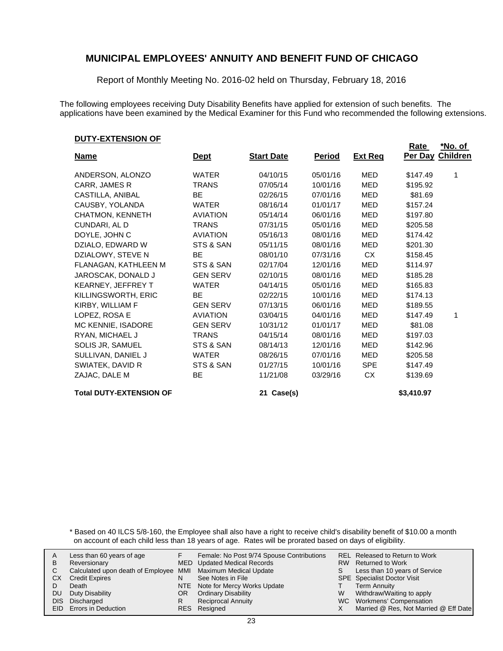Report of Monthly Meeting No. 2016-02 held on Thursday, February 18, 2016

The following employees receiving Duty Disability Benefits have applied for extension of such benefits. The applications have been examined by the Medical Examiner for this Fund who recommended the following extensions.

### **DUTY-EXTENSION OF**

|                                |                 |                   |               |                | Rate<br>Per Day | <u>*No. of</u><br><b>Children</b> |
|--------------------------------|-----------------|-------------------|---------------|----------------|-----------------|-----------------------------------|
| <b>Name</b>                    | <u>Dept</u>     | <b>Start Date</b> | <u>Period</u> | <b>Ext Req</b> |                 |                                   |
| ANDERSON, ALONZO               | <b>WATER</b>    | 04/10/15          | 05/01/16      | <b>MED</b>     | \$147.49        | 1                                 |
| CARR, JAMES R                  | <b>TRANS</b>    | 07/05/14          | 10/01/16      | <b>MED</b>     | \$195.92        |                                   |
| CASTILLA, ANIBAL               | <b>BE</b>       | 02/26/15          | 07/01/16      | MED            | \$81.69         |                                   |
| CAUSBY, YOLANDA                | <b>WATER</b>    | 08/16/14          | 01/01/17      | MED            | \$157.24        |                                   |
| <b>CHATMON, KENNETH</b>        | <b>AVIATION</b> | 05/14/14          | 06/01/16      | MED            | \$197.80        |                                   |
| CUNDARI, AL D                  | <b>TRANS</b>    | 07/31/15          | 05/01/16      | <b>MED</b>     | \$205.58        |                                   |
| DOYLE, JOHN C                  | <b>AVIATION</b> | 05/16/13          | 08/01/16      | MED            | \$174.42        |                                   |
| DZIALO, EDWARD W               | STS & SAN       | 05/11/15          | 08/01/16      | MED            | \$201.30        |                                   |
| DZIALOWY, STEVE N              | <b>BE</b>       | 08/01/10          | 07/31/16      | <b>CX</b>      | \$158.45        |                                   |
| FLANAGAN, KATHLEEN M           | STS & SAN       | 02/17/04          | 12/01/16      | MED            | \$114.97        |                                   |
| JAROSCAK, DONALD J             | <b>GEN SERV</b> | 02/10/15          | 08/01/16      | MED            | \$185.28        |                                   |
| KEARNEY, JEFFREY T             | <b>WATER</b>    | 04/14/15          | 05/01/16      | <b>MED</b>     | \$165.83        |                                   |
| KILLINGSWORTH, ERIC            | <b>BE</b>       | 02/22/15          | 10/01/16      | <b>MED</b>     | \$174.13        |                                   |
| KIRBY, WILLIAM F               | <b>GEN SERV</b> | 07/13/15          | 06/01/16      | MED            | \$189.55        |                                   |
| LOPEZ, ROSA E                  | <b>AVIATION</b> | 03/04/15          | 04/01/16      | <b>MED</b>     | \$147.49        | 1                                 |
| MC KENNIE, ISADORE             | <b>GEN SERV</b> | 10/31/12          | 01/01/17      | <b>MED</b>     | \$81.08         |                                   |
| RYAN, MICHAEL J                | <b>TRANS</b>    | 04/15/14          | 08/01/16      | MED            | \$197.03        |                                   |
| SOLIS JR, SAMUEL               | STS & SAN       | 08/14/13          | 12/01/16      | MED            | \$142.96        |                                   |
| SULLIVAN, DANIEL J             | <b>WATER</b>    | 08/26/15          | 07/01/16      | <b>MED</b>     | \$205.58        |                                   |
| SWIATEK, DAVID R               | STS & SAN       | 01/27/15          | 10/01/16      | <b>SPE</b>     | \$147.49        |                                   |
| ZAJAC, DALE M                  | <b>BE</b>       | 11/21/08          | 03/29/16      | CX             | \$139.69        |                                   |
| <b>Total DUTY-EXTENSION OF</b> |                 | 21 Case(s)        |               |                | \$3,410.97      |                                   |

\* Based on 40 ILCS 5/8-160, the Employee shall also have a right to receive child's disability benefit of \$10.00 a month on account of each child less than 18 years of age. Rates will be prorated based on days of eligibility.

|    | Less than 60 years of age                                    |    | Female: No Post 9/74 Spouse Contributions |    | REL Released to Return to Work        |
|----|--------------------------------------------------------------|----|-------------------------------------------|----|---------------------------------------|
|    |                                                              |    |                                           |    |                                       |
| В  | Reversionary                                                 |    | MED Updated Medical Records               |    | RW Returned to Work                   |
|    | Calculated upon death of Employee MMI Maximum Medical Update |    |                                           | S. | Less than 10 years of Service         |
| СX | <b>Credit Expires</b>                                        | N  | See Notes in File                         |    | <b>SPE</b> Specialist Doctor Visit    |
|    | Death                                                        |    | NTE Note for Mercy Works Update           |    | Term Annuity                          |
| DU | Duty Disability                                              | OR | <b>Ordinary Disability</b>                | W  | Withdraw/Waiting to apply             |
|    | DIS Discharged                                               |    | <b>Reciprocal Annuity</b>                 |    | WC Workmens' Compensation             |
|    | EID Errors in Deduction                                      |    | RES Resigned                              |    | Married @ Res, Not Married @ Eff Date |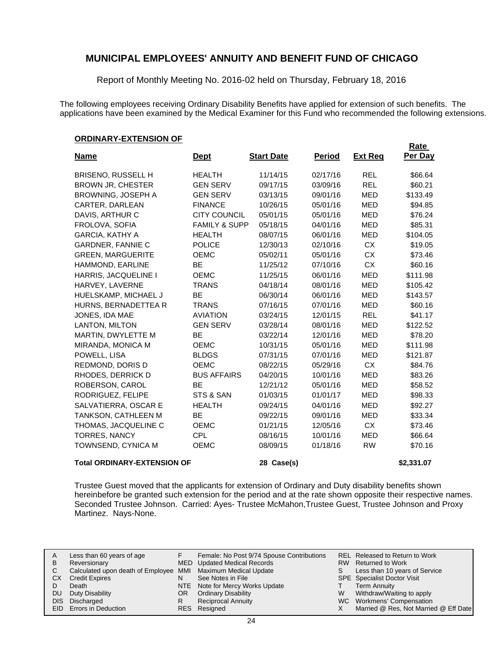Report of Monthly Meeting No. 2016-02 held on Thursday, February 18, 2016

The following employees receiving Ordinary Disability Benefits have applied for extension of such benefits. The applications have been examined by the Medical Examiner for this Fund who recommended the following extensions.

### **ORDINARY-EXTENSION OF**

|                                    |                          |                   |               |                | <b>Rate</b> |
|------------------------------------|--------------------------|-------------------|---------------|----------------|-------------|
| <u>Name</u>                        | <u>Dept</u>              | <b>Start Date</b> | <b>Period</b> | <b>Ext Reg</b> | Per Day     |
| <b>BRISENO, RUSSELL H</b>          | <b>HEALTH</b>            | 11/14/15          | 02/17/16      | <b>REL</b>     | \$66.64     |
| <b>BROWN JR, CHESTER</b>           | <b>GEN SERV</b>          | 09/17/15          | 03/09/16      | <b>REL</b>     | \$60.21     |
| <b>BROWNING, JOSEPH A</b>          | <b>GEN SERV</b>          | 03/13/15          | 09/01/16      | <b>MED</b>     | \$133.49    |
| CARTER, DARLEAN                    | <b>FINANCE</b>           | 10/26/15          | 05/01/16      | <b>MED</b>     | \$94.85     |
| DAVIS, ARTHUR C                    | <b>CITY COUNCIL</b>      | 05/01/15          | 05/01/16      | <b>MED</b>     | \$76.24     |
| FROLOVA, SOFIA                     | <b>FAMILY &amp; SUPP</b> | 05/18/15          | 04/01/16      | <b>MED</b>     | \$85.31     |
| <b>GARCIA, KATHY A</b>             | <b>HEALTH</b>            | 08/07/15          | 06/01/16      | <b>MED</b>     | \$104.05    |
| <b>GARDNER, FANNIE C</b>           | <b>POLICE</b>            | 12/30/13          | 02/10/16      | <b>CX</b>      | \$19.05     |
| <b>GREEN, MARGUERITE</b>           | <b>OEMC</b>              | 05/02/11          | 05/01/16      | <b>CX</b>      | \$73.46     |
| HAMMOND, EARLINE                   | <b>BE</b>                | 11/25/12          | 07/10/16      | <b>CX</b>      | \$60.16     |
| HARRIS, JACQUELINE I               | <b>OEMC</b>              | 11/25/15          | 06/01/16      | <b>MED</b>     | \$111.98    |
| HARVEY, LAVERNE                    | <b>TRANS</b>             | 04/18/14          | 08/01/16      | MED            | \$105.42    |
| HUELSKAMP, MICHAEL J               | <b>BE</b>                | 06/30/14          | 06/01/16      | <b>MED</b>     | \$143.57    |
| HURNS, BERNADETTEA R               | <b>TRANS</b>             | 07/16/15          | 07/01/16      | <b>MED</b>     | \$60.16     |
| JONES, IDA MAE                     | <b>AVIATION</b>          | 03/24/15          | 12/01/15      | <b>REL</b>     | \$41.17     |
| <b>LANTON, MILTON</b>              | <b>GEN SERV</b>          | 03/28/14          | 08/01/16      | <b>MED</b>     | \$122.52    |
| MARTIN, DWYLETTE M                 | <b>BE</b>                | 03/22/14          | 12/01/16      | <b>MED</b>     | \$78.20     |
| MIRANDA, MONICA M                  | <b>OEMC</b>              | 10/31/15          | 05/01/16      | <b>MED</b>     | \$111.98    |
| POWELL, LISA                       | <b>BLDGS</b>             | 07/31/15          | 07/01/16      | <b>MED</b>     | \$121.87    |
| REDMOND, DORIS D                   | OEMC                     | 08/22/15          | 05/29/16      | CX             | \$84.76     |
| RHODES, DERRICK D                  | <b>BUS AFFAIRS</b>       | 04/20/15          | 10/01/16      | <b>MED</b>     | \$83.26     |
| ROBERSON, CAROL                    | <b>BE</b>                | 12/21/12          | 05/01/16      | <b>MED</b>     | \$58.52     |
| RODRIGUEZ, FELIPE                  | STS & SAN                | 01/03/15          | 01/01/17      | <b>MED</b>     | \$98.33     |
| SALVATIERRA, OSCAR E               | <b>HEALTH</b>            | 09/24/15          | 04/01/16      | <b>MED</b>     | \$92.27     |
| TANKSON, CATHLEEN M                | <b>BE</b>                | 09/22/15          | 09/01/16      | <b>MED</b>     | \$33.34     |
| THOMAS, JACQUELINE C               | <b>OEMC</b>              | 01/21/15          | 12/05/16      | <b>CX</b>      | \$73.46     |
| <b>TORRES, NANCY</b>               | <b>CPL</b>               | 08/16/15          | 10/01/16      | <b>MED</b>     | \$66.64     |
| TOWNSEND, CYNICA M                 | <b>OEMC</b>              | 08/09/15          | 01/18/16      | <b>RW</b>      | \$70.16     |
| <b>Total ORDINARY-EXTENSION OF</b> |                          | 28 Case(s)        |               |                | \$2,331.07  |

Trustee Guest moved that the applicants for extension of Ordinary and Duty disability benefits shown hereinbefore be granted such extension for the period and at the rate shown opposite their respective names. Seconded Trustee Johnson. Carried: Ayes- Trustee McMahon,Trustee Guest, Trustee Johnson and Proxy Martinez. Nays-None.

| A<br>В | Less than 60 years of age<br>Reversionary                    |     | Female: No Post 9/74 Spouse Contributions<br>MED Updated Medical Records |    | REL Released to Return to Work<br>RW Returned to Work |
|--------|--------------------------------------------------------------|-----|--------------------------------------------------------------------------|----|-------------------------------------------------------|
|        | Calculated upon death of Employee MMI Maximum Medical Update |     |                                                                          | S. | Less than 10 years of Service                         |
| СX     | <b>Credit Expires</b>                                        |     | See Notes in File                                                        |    | <b>SPE</b> Specialist Doctor Visit                    |
|        | Death                                                        |     | NTE Note for Mercy Works Update                                          |    | <b>Term Annuity</b>                                   |
| DU     | Duty Disability                                              | OR. | <b>Ordinary Disability</b>                                               | W  | Withdraw/Waiting to apply                             |
|        | DIS Discharged                                               |     | <b>Reciprocal Annuity</b>                                                |    | WC Workmens' Compensation                             |
|        | <b>EID</b> Errors in Deduction                               |     | RES Resigned                                                             |    | Married @ Res, Not Married @ Eff Date                 |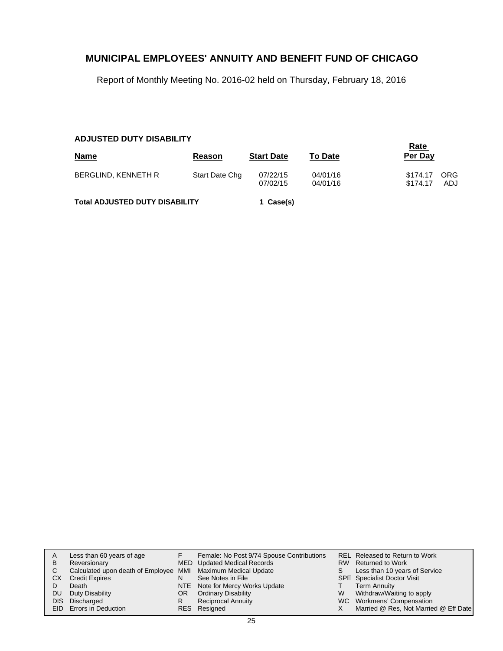Report of Monthly Meeting No. 2016-02 held on Thursday, February 18, 2016

## **ADJUSTED DUTY DISABILITY**

|                                       | Rate           |                   |                |          |      |
|---------------------------------------|----------------|-------------------|----------------|----------|------|
| <b>Name</b>                           | Reason         | <b>Start Date</b> | <b>To Date</b> | Per Day  |      |
| <b>BERGLIND, KENNETH R</b>            | Start Date Chg | 07/22/15          | 04/01/16       | \$174.17 | ORG  |
|                                       |                | 07/02/15          | 04/01/16       | \$174.17 | ADJ. |
| <b>Total ADJUSTED DUTY DISABILITY</b> |                | 1 Case(s)         |                |          |      |

| A    | Less than 60 years of age                                    |    | Female: No Post 9/74 Spouse Contributions |    | REL Released to Return to Work        |
|------|--------------------------------------------------------------|----|-------------------------------------------|----|---------------------------------------|
|      |                                                              |    |                                           |    |                                       |
| B    | Reversionary                                                 |    | MED Updated Medical Records               |    | RW Returned to Work                   |
| C.   | Calculated upon death of Employee MMI Maximum Medical Update |    |                                           | S. | Less than 10 years of Service         |
| CХ   | <b>Credit Expires</b>                                        | N  | See Notes in File                         |    | <b>SPE</b> Specialist Doctor Visit    |
|      | Death                                                        |    | NTE Note for Mercy Works Update           |    | <b>Term Annuity</b>                   |
| DU.  | Duty Disability                                              | OR | <b>Ordinary Disability</b>                | W  | Withdraw/Waiting to apply             |
| DIS. | Discharged                                                   |    | Reciprocal Annuity                        |    | WC Workmens' Compensation             |
|      | EID Errors in Deduction                                      |    | RES Resigned                              |    | Married @ Res, Not Married @ Eff Date |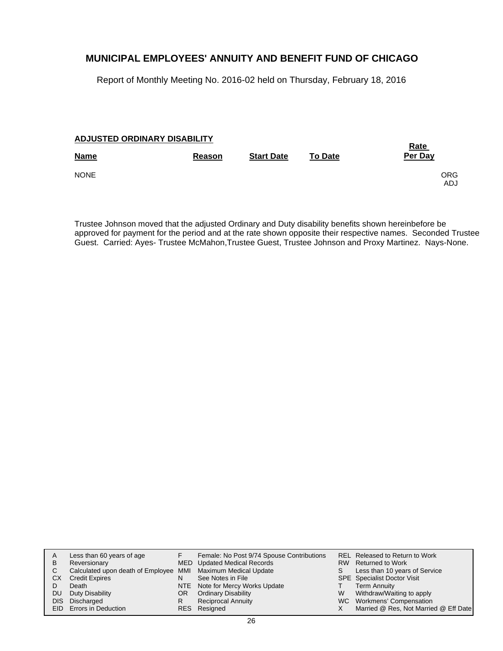Report of Monthly Meeting No. 2016-02 held on Thursday, February 18, 2016

### **ADJUSTED ORDINARY DISABILITY**

| <b>Name</b> | Reason | <b>Start Date</b> | <b>To Date</b> | <u>Rate</u><br>Per Day   |
|-------------|--------|-------------------|----------------|--------------------------|
| <b>NONE</b> |        |                   |                | <b>ORG</b><br><b>ADJ</b> |

Trustee Johnson moved that the adjusted Ordinary and Duty disability benefits shown hereinbefore be approved for payment for the period and at the rate shown opposite their respective names. Seconded Trustee Guest. Carried: Ayes- Trustee McMahon,Trustee Guest, Trustee Johnson and Proxy Martinez. Nays-None.

| Α    | Less than 60 years of age                                    |     | Female: No Post 9/74 Spouse Contributions |   | REL Released to Return to Work        |
|------|--------------------------------------------------------------|-----|-------------------------------------------|---|---------------------------------------|
| В    | Reversionary                                                 |     | MED Updated Medical Records               |   | RW Returned to Work                   |
|      | Calculated upon death of Employee MMI Maximum Medical Update |     |                                           | S | Less than 10 years of Service         |
| СX   | <b>Credit Expires</b>                                        | N   | See Notes in File                         |   | <b>SPE</b> Specialist Doctor Visit    |
|      | Death                                                        |     | NTE Note for Mercy Works Update           |   | <b>Term Annuity</b>                   |
| DU   | Duty Disability                                              | OR. | <b>Ordinary Disability</b>                | W | Withdraw/Waiting to apply             |
| DIS. | Discharged                                                   |     | <b>Reciprocal Annuity</b>                 |   | WC Workmens' Compensation             |
|      | <b>EID</b> Errors in Deduction                               |     | RES Resigned                              |   | Married @ Res, Not Married @ Eff Date |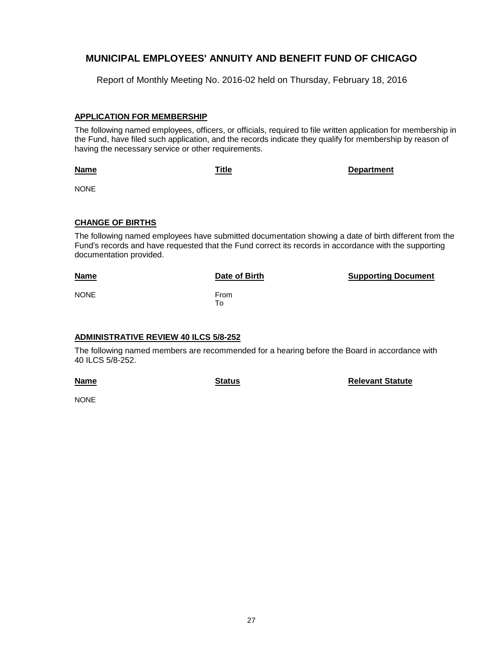Report of Monthly Meeting No. 2016-02 held on Thursday, February 18, 2016

### **APPLICATION FOR MEMBERSHIP**

The following named employees, officers, or officials, required to file written application for membership in the Fund, have filed such application, and the records indicate they qualify for membership by reason of having the necessary service or other requirements.

**Name**

**Title Department**

NONE

### **CHANGE OF BIRTHS**

The following named employees have submitted documentation showing a date of birth different from the Fund's records and have requested that the Fund correct its records in accordance with the supporting documentation provided.

| <b>Name</b> | Date of Birth | <b>Supporting Document</b> |
|-------------|---------------|----------------------------|
| <b>NONE</b> | From<br>To    |                            |

### **ADMINISTRATIVE REVIEW 40 ILCS 5/8-252**

The following named members are recommended for a hearing before the Board in accordance with 40 ILCS 5/8-252.

**Name**

**Status Relevant Statute** 

**NONE**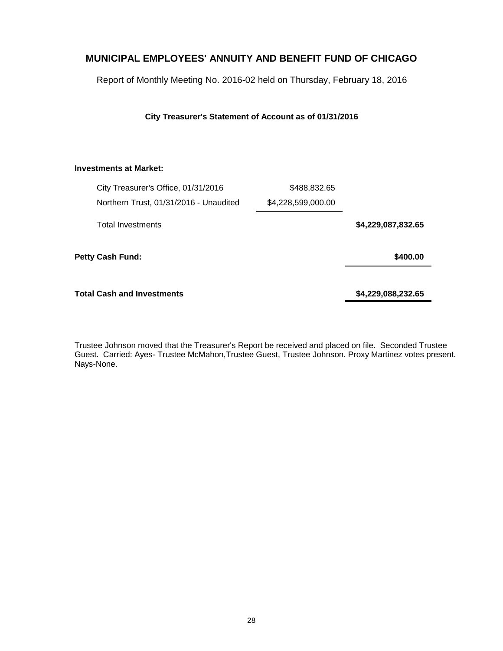Report of Monthly Meeting No. 2016-02 held on Thursday, February 18, 2016

### **City Treasurer's Statement of Account as of 01/31/2016**

### **Investments at Market:**

| City Treasurer's Office, 01/31/2016    | \$488,832.65       |                    |
|----------------------------------------|--------------------|--------------------|
| Northern Trust, 01/31/2016 - Unaudited | \$4,228,599,000.00 |                    |
| <b>Total Investments</b>               |                    | \$4,229,087,832.65 |
| <b>Petty Cash Fund:</b>                |                    | \$400.00           |
| <b>Total Cash and Investments</b>      |                    | \$4,229,088,232.65 |

Trustee Johnson moved that the Treasurer's Report be received and placed on file. Seconded Trustee Guest. Carried: Ayes- Trustee McMahon,Trustee Guest, Trustee Johnson. Proxy Martinez votes present. Nays-None.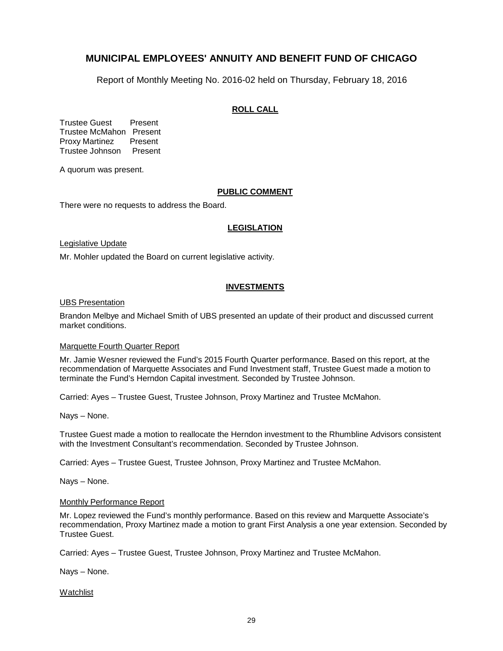Report of Monthly Meeting No. 2016-02 held on Thursday, February 18, 2016

### **ROLL CALL**

Trustee Guest Present Trustee McMahon Present Proxy Martinez Present Trustee Johnson Present

A quorum was present.

### **PUBLIC COMMENT**

There were no requests to address the Board.

### **LEGISLATION**

Legislative Update

Mr. Mohler updated the Board on current legislative activity.

### **INVESTMENTS**

### UBS Presentation

Brandon Melbye and Michael Smith of UBS presented an update of their product and discussed current market conditions.

#### Marquette Fourth Quarter Report

Mr. Jamie Wesner reviewed the Fund's 2015 Fourth Quarter performance. Based on this report, at the recommendation of Marquette Associates and Fund Investment staff, Trustee Guest made a motion to terminate the Fund's Herndon Capital investment. Seconded by Trustee Johnson.

Carried: Ayes – Trustee Guest, Trustee Johnson, Proxy Martinez and Trustee McMahon.

Nays – None.

Trustee Guest made a motion to reallocate the Herndon investment to the Rhumbline Advisors consistent with the Investment Consultant's recommendation. Seconded by Trustee Johnson.

Carried: Ayes – Trustee Guest, Trustee Johnson, Proxy Martinez and Trustee McMahon.

Nays – None.

#### Monthly Performance Report

Mr. Lopez reviewed the Fund's monthly performance. Based on this review and Marquette Associate's recommendation, Proxy Martinez made a motion to grant First Analysis a one year extension. Seconded by Trustee Guest.

Carried: Ayes – Trustee Guest, Trustee Johnson, Proxy Martinez and Trustee McMahon.

Nays – None.

**Watchlist**